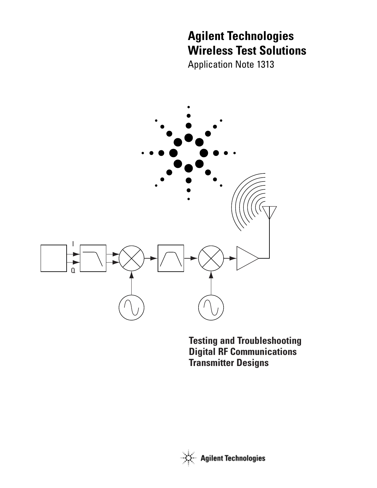# **Agilent Technologies Wireless Test Solutions**

Application Note 1313



**Testing and Troubleshooting Digital RF Communications Transmitter Designs**

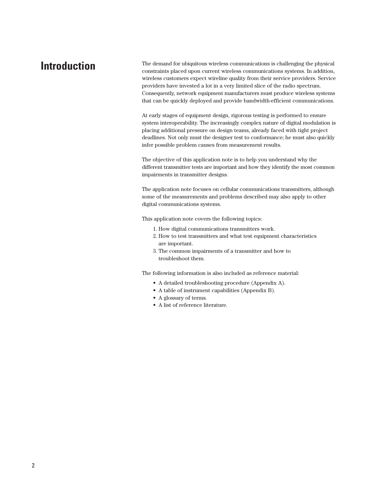# **Introduction**

The demand for ubiquitous wireless communications is challenging the physical constraints placed upon current wireless communications systems. In addition, wireless customers expect wireline quality from their service providers. Service providers have invested a lot in a very limited slice of the radio spectrum. Consequently, network equipment manufacturers must produce wireless systems that can be quickly deployed and provide bandwidth-efficient communications.

At early stages of equipment design, rigorous testing is performed to ensure system interoperability. The increasingly complex nature of digital modulation is placing additional pressure on design teams, already faced with tight project deadlines. Not only must the designer test to conformance; he must also quickly infer possible problem causes from measurement results.

The objective of this application note is to help you understand why the different transmitter tests are important and how they identify the most common impairments in transmitter designs.

The application note focuses on cellular communications transmitters, although some of the measurements and problems described may also apply to other digital communications systems.

This application note covers the following topics:

- 1. How digital communications transmitters work.
- 2. How to test transmitters and what test equipment characteristics are important.
- 3. The common impairments of a transmitter and how to troubleshoot them.

The following information is also included as reference material:

- A detailed troubleshooting procedure (Appendix A).
- A table of instrument capabilities (Appendix B).
- A glossary of terms.
- A list of reference literature.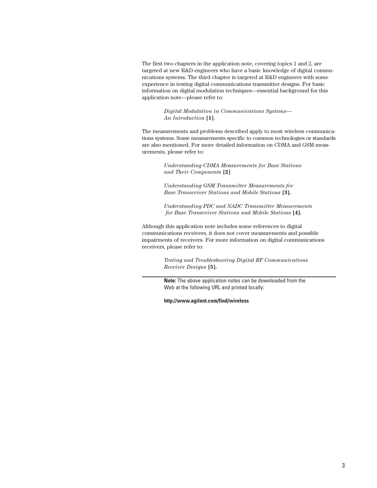The first two chapters in the application note, covering topics 1 and 2, are targeted at new R&D engineers who have a basic knowledge of digital communications systems. The third chapter is targeted at R&D engineers with some experience in testing digital communications transmitter designs. For basic information on digital modulation techniques—essential background for this application note—please refer to:

> *Digital Modulation in Communications Systems— An Introduction* **[1]**.

The measurements and problems described apply to most wireless communications systems. Some measurements specific to common technologies or standards are also mentioned. For more detailed information on CDMA and GSM measurements, please refer to:

> *Understanding CDMA Measurements for Base Stations and Their Components* **[2]**

*Understanding GSM Transmitter Measurements for Base Transceiver Stations and Mobile Stations* **[3].**

*Understanding PDC and NADC Transmitter Measurements for Base Transceiver Stations and Mobile Stations* **[4].**

Although this application note includes some references to digital communications receivers, it does not cover measurements and possible impairments of receivers. For more information on digital communications receivers, please refer to:

> *Testing and Troubleshooting Digital RF Communications Receiver Designs* **[5].**

**Note:** The above application notes can be downloaded from the Web at the following URL and printed locally:

**http://www.agilent.com/find/wireless**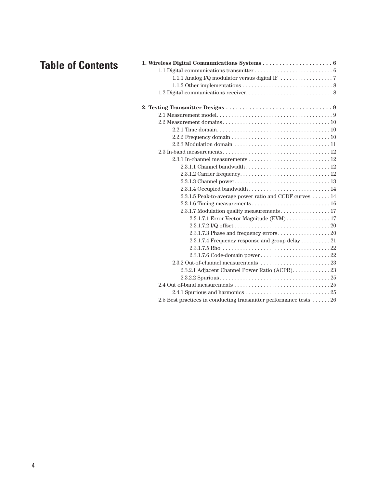# **Table of Contents**

| 2.3.1.5 Peak-to-average power ratio and CCDF curves  14                                                        |
|----------------------------------------------------------------------------------------------------------------|
|                                                                                                                |
| 2.3.1.7 Modulation quality measurements 17                                                                     |
| 2.3.1.7.1 Error Vector Magnitude (EVM)  17                                                                     |
| $2.3.1.7.2 \text{ VQ offset} \dots \dots \dots \dots \dots \dots \dots \dots \dots \dots \dots \dots \dots 20$ |
|                                                                                                                |
|                                                                                                                |
|                                                                                                                |
|                                                                                                                |
|                                                                                                                |
| 2.3.2.1 Adjacent Channel Power Ratio (ACPR). 23                                                                |
|                                                                                                                |
|                                                                                                                |
|                                                                                                                |
| 2.5 Best practices in conducting transmitter performance tests  26                                             |
|                                                                                                                |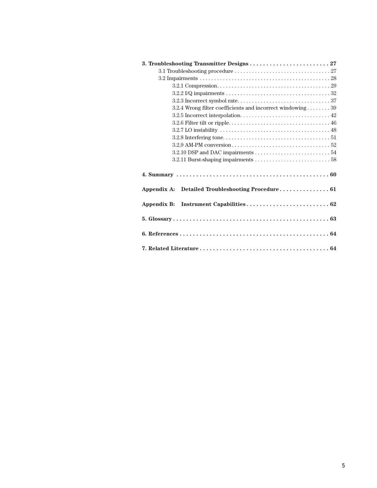| 3. Troubleshooting Transmitter Designs  27                 |
|------------------------------------------------------------|
|                                                            |
|                                                            |
|                                                            |
|                                                            |
|                                                            |
| 3.2.4 Wrong filter coefficients and incorrect windowing 39 |
|                                                            |
|                                                            |
|                                                            |
|                                                            |
|                                                            |
|                                                            |
|                                                            |
|                                                            |
| Appendix A: Detailed Troubleshooting Procedure 61          |
| Appendix B:                                                |
|                                                            |
|                                                            |
|                                                            |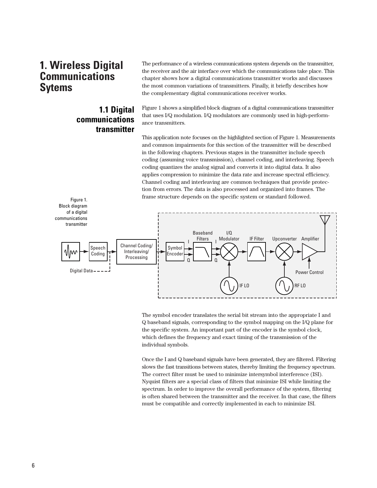# **1. Wireless Digital Communications Sytems**

## **1.1 Digital communications transmitter**

The performance of a wireless communications system depends on the transmitter, the receiver and the air interface over which the communications take place. This chapter shows how a digital communications transmitter works and discusses the most common variations of transmitters. Finally, it briefly describes how the complementary digital communications receiver works.

Figure 1 shows a simplified block diagram of a digital communications transmitter that uses I/Q modulation. I/Q modulators are commonly used in high-performance transmitters.

This application note focuses on the highlighted section of Figure 1. Measurements and common impairments for this section of the transmitter will be described in the following chapters. Previous stages in the transmitter include speech coding (assuming voice transmission), channel coding, and interleaving. Speech coding quantizes the analog signal and converts it into digital data. It also applies compression to minimize the data rate and increase spectral efficiency. Channel coding and interleaving are common techniques that provide protection from errors. The data is also processed and organized into frames. The frame structure depends on the specific system or standard followed.



The symbol encoder translates the serial bit stream into the appropriate I and Q baseband signals, corresponding to the symbol mapping on the I/Q plane for the specific system. An important part of the encoder is the symbol clock, which defines the frequency and exact timing of the transmission of the individual symbols.

Once the I and Q baseband signals have been generated, they are filtered. Filtering slows the fast transitions between states, thereby limiting the frequency spectrum. The correct filter must be used to minimize intersymbol interference (ISI). Nyquist filters are a special class of filters that minimize ISI while limiting the spectrum. In order to improve the overall performance of the system, filtering is often shared between the transmitter and the receiver. In that case, the filters must be compatible and correctly implemented in each to minimize ISI.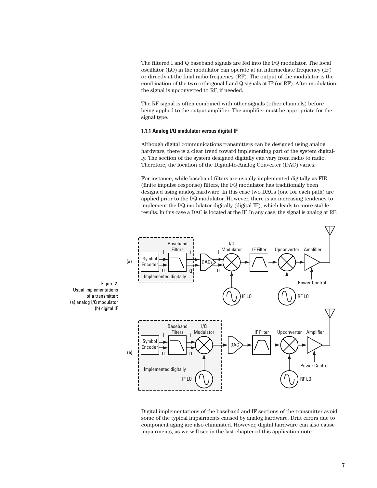The filtered I and Q baseband signals are fed into the I/Q modulator. The local oscillator (LO) in the modulator can operate at an intermediate frequency (IF) or directly at the final radio frequency (RF). The output of the modulator is the combination of the two orthogonal I and Q signals at IF (or RF). After modulation, the signal is upconverted to RF, if needed.

The RF signal is often combined with other signals (other channels) before being applied to the output amplifier. The amplifier must be appropriate for the signal type.

#### **1.1.1 Analog I/Q modulator versus digital IF**

Although digital communications transmitters can be designed using analog hardware, there is a clear trend toward implementing part of the system digitally. The section of the system designed digitally can vary from radio to radio. Therefore, the location of the Digital-to-Analog Converter (DAC) varies.

For instance, while baseband filters are usually implemented digitally as FIR (finite impulse response) filters, the I/Q modulator has traditionally been designed using analog hardware. In this case two DACs (one for each path) are applied prior to the I/Q modulator. However, there is an increasing tendency to implement the I/Q modulator digitally (digital IF), which leads to more stable results. In this case a DAC is located at the IF. In any case, the signal is analog at RF.



Digital implementations of the baseband and IF sections of the transmitter avoid some of the typical impairments caused by analog hardware. Drift errors due to component aging are also eliminated. However, digital hardware can also cause impairments, as we will see in the last chapter of this application note.

Figure 2. Usual implementations of a transmitter: (a) analog I/Q modulator (b) digital IF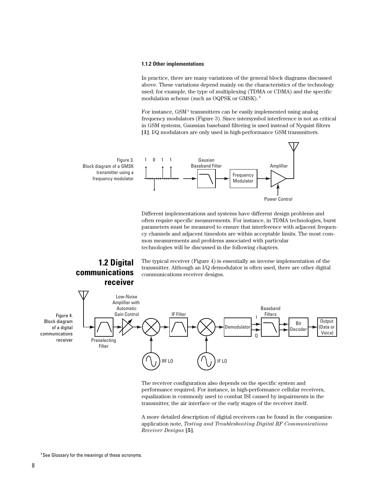#### **1.1.2 Other implementations**

In practice, there are many variations of the general block diagrams discussed above. These variations depend mainly on the characteristics of the technology used; for example, the type of multiplexing (TDMA or CDMA) and the specific modulation scheme (such as OQPSK or GMSK). **<sup>1</sup>**

For instance, GSM**<sup>1</sup>** transmitters can be easily implemented using analog frequency modulators (Figure 3). Since intersymbol interference is not as critical in GSM systems, Gaussian baseband filtering is used instead of Nyquist filters **[1]**. I/Q modulators are only used in high-performance GSM transmitters.



Different implementations and systems have different design problems and often require specific measurements. For instance, in TDMA technologies, burst parameters must be measured to ensure that interference with adjacent frequency channels and adjacent timeslots are within acceptable limits. The most common measurements and problems associated with particular technologies will be discussed in the following chapters.

## **1.2 Digital communications receiver**

The typical receiver (Figure 4) is essentially an inverse implementation of the transmitter. Although an I/Q demodulator is often used, there are other digital communications receiver designs.



The receiver configuration also depends on the specific system and performance required. For instance, in high-performance cellular receivers, equalization is commonly used to combat ISI caused by impairments in the transmitter, the air interface or the early stages of the receiver itself.

A more detailed description of digital receivers can be found in the companion application note, *Testing and Troubleshooting Digital RF Communications Receiver Designs* **[5]***.*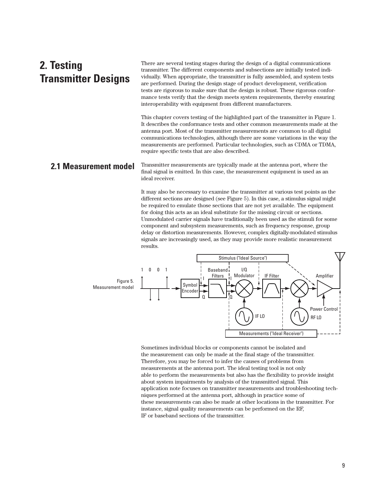# **2. Testing Transmitter Designs**

There are several testing stages during the design of a digital communications transmitter. The different components and subsections are initially tested individually. When appropriate, the transmitter is fully assembled, and system tests are performed. During the design stage of product development, verification tests are rigorous to make sure that the design is robust. These rigorous conformance tests verify that the design meets system requirements, thereby ensuring interoperability with equipment from different manufacturers.

This chapter covers testing of the highlighted part of the transmitter in Figure 1. It describes the conformance tests and other common measurements made at the antenna port. Most of the transmitter measurements are common to all digital communications technologies, although there are some variations in the way the measurements are performed. Particular technologies, such as CDMA or TDMA, require specific tests that are also described.

### **2.1 Measurement model**

Transmitter measurements are typically made at the antenna port, where the final signal is emitted. In this case, the measurement equipment is used as an ideal receiver.

It may also be necessary to examine the transmitter at various test points as the different sections are designed (see Figure 5). In this case, a stimulus signal might be required to emulate those sections that are not yet available. The equipment for doing this acts as an ideal substitute for the missing circuit or sections. Unmodulated carrier signals have traditionally been used as the stimuli for some component and subsystem measurements, such as frequency response, group delay or distortion measurements. However, complex digitally-modulated stimulus signals are increasingly used, as they may provide more realistic measurement results.



Sometimes individual blocks or components cannot be isolated and the measurement can only be made at the final stage of the transmitter. Therefore, you may be forced to infer the causes of problems from measurements at the antenna port. The ideal testing tool is not only able to perform the measurements but also has the flexibility to provide insight about system impairments by analysis of the transmitted signal. This application note focuses on transmitter measurements and troubleshooting techniques performed at the antenna port, although in practice some of these measurements can also be made at other locations in the transmitter. For instance, signal quality measurements can be performed on the RF, IF or baseband sections of the transmitter.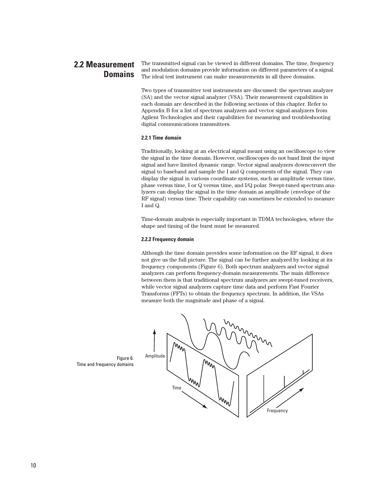#### The transmitted signal can be viewed in different domains. The time, frequency and modulation domains provide information on different parameters of a signal. The ideal test instrument can make measurements in all three domains. **2.2 Measurement Domains**

Two types of transmitter test instruments are discussed: the spectrum analyzer (SA) and the vector signal analyzer (VSA). Their measurement capabilities in each domain are described in the following sections of this chapter. Refer to Appendix B for a list of spectrum analyzers and vector signal analyzers from Agilent Technologies and their capabilities for measuring and troubleshooting digital communications transmitters.

#### **2.2.1 Time domain**

Traditionally, looking at an electrical signal meant using an oscilloscope to view the signal in the time domain. However, oscilloscopes do not band limit the input signal and have limited dynamic range. Vector signal analyzers downconvert the signal to baseband and sample the I and Q components of the signal. They can display the signal in various coordinate systems, such as amplitude versus time, phase versus time, I or Q versus time, and I/Q polar. Swept-tuned spectrum analyzers can display the signal in the time domain as amplitude (envelope of the RF signal) versus time. Their capability can sometimes be extended to measure I and Q.

Time-domain analysis is especially important in TDMA technologies, where the shape and timing of the burst must be measured.

#### **2.2.2 Frequency domain**

Although the time domain provides some information on the RF signal, it does not give us the full picture. The signal can be further analyzed by looking at its frequency components (Figure 6). Both spectrum analyzers and vector signal analyzers can perform frequency-domain measurements. The main difference between them is that traditional spectrum analyzers are swept-tuned receivers, while vector signal analyzers capture time data and perform Fast Fourier Transforms (FFTs) to obtain the frequency spectrum. In addition, the VSAs measure both the magnitude and phase of a signal.



Time and frequency domains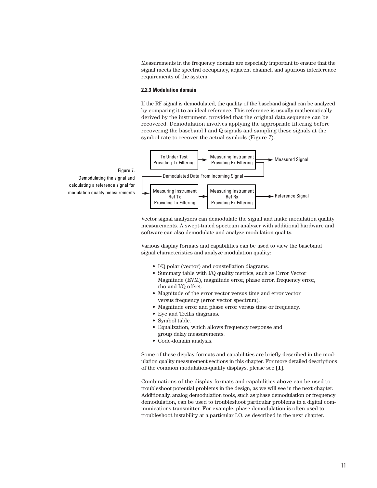Measurements in the frequency domain are especially important to ensure that the signal meets the spectral occupancy, adjacent channel, and spurious interference requirements of the system.

#### **2.2.3 Modulation domain**

If the RF signal is demodulated, the quality of the baseband signal can be analyzed by comparing it to an ideal reference. This reference is usually mathematically derived by the instrument, provided that the original data sequence can be recovered. Demodulation involves applying the appropriate filtering before recovering the baseband I and Q signals and sampling these signals at the symbol rate to recover the actual symbols (Figure 7).



Vector signal analyzers can demodulate the signal and make modulation quality measurements. A swept-tuned spectrum analyzer with additional hardware and software can also demodulate and analyze modulation quality.

Various display formats and capabilities can be used to view the baseband signal characteristics and analyze modulation quality:

- I/Q polar (vector) and constellation diagrams.
- Summary table with I/Q quality metrics, such as Error Vector Magnitude (EVM), magnitude error, phase error, frequency error, rho and I/Q offset.
- Magnitude of the error vector versus time and error vector versus frequency (error vector spectrum).
- Magnitude error and phase error versus time or frequency.
- Eye and Trellis diagrams.
- Symbol table.
- Equalization, which allows frequency response and group delay measurements.
- Code-domain analysis.

Some of these display formats and capabilities are briefly described in the modulation quality measurement sections in this chapter. For more detailed descriptions of the common modulation-quality displays, please see **[1]**.

Combinations of the display formats and capabilities above can be used to troubleshoot potential problems in the design, as we will see in the next chapter. Additionally, analog demodulation tools, such as phase demodulation or frequency demodulation, can be used to troubleshoot particular problems in a digital communications transmitter. For example, phase demodulation is often used to troubleshoot instability at a particular LO, as described in the next chapter.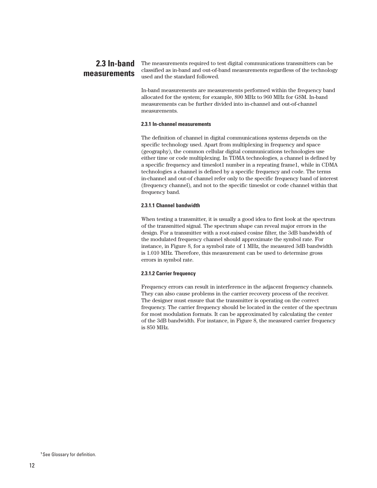#### The measurements required to test digital communications transmitters can be classified as in-band and out-of-band measurements regardless of the technology used and the standard followed. **2.3 In-band measurements**

In-band measurements are measurements performed within the frequency band allocated for the system; for example, 890 MHz to 960 MHz for GSM. In-band measurements can be further divided into in-channel and out-of-channel measurements.

#### **2.3.1 In-channel measurements**

The definition of channel in digital communications systems depends on the specific technology used. Apart from multiplexing in frequency and space (geography), the common cellular digital communications technologies use either time or code multiplexing. In TDMA technologies, a channel is defined by a specific frequency and timeslot1 number in a repeating frame1, while in CDMA technologies a channel is defined by a specific frequency and code. The terms in-channel and out-of channel refer only to the specific frequency band of interest (frequency channel), and not to the specific timeslot or code channel within that frequency band.

#### **2.3.1.1 Channel bandwidth**

When testing a transmitter, it is usually a good idea to first look at the spectrum of the transmitted signal. The spectrum shape can reveal major errors in the design. For a transmitter with a root-raised cosine filter, the 3dB bandwidth of the modulated frequency channel should approximate the symbol rate. For instance, in Figure 8, for a symbol rate of 1 MHz, the measured 3dB bandwidth is 1.010 MHz. Therefore, this measurement can be used to determine gross errors in symbol rate.

#### **2.3.1.2 Carrier frequency**

Frequency errors can result in interference in the adjacent frequency channels. They can also cause problems in the carrier recovery process of the receiver. The designer must ensure that the transmitter is operating on the correct frequency. The carrier frequency should be located in the center of the spectrum for most modulation formats. It can be approximated by calculating the center of the 3dB bandwidth. For instance, in Figure 8, the measured carrier frequency is 850 MHz.

**<sup>1</sup>** See Glossary for definition.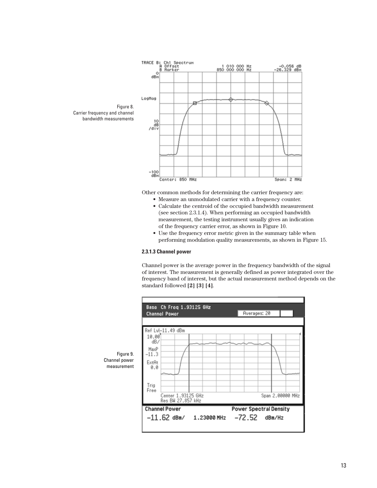

Other common methods for determining the carrier frequency are:

- Measure an unmodulated carrier with a frequency counter. • Calculate the centroid of the occupied bandwidth measurement (see section 2.3.1.4). When performing an occupied bandwidth measurement, the testing instrument usually gives an indication of the frequency carrier error, as shown in Figure 10.
- Use the frequency error metric given in the summary table when performing modulation quality measurements, as shown in Figure 15.

#### **2.3.1.3 Channel power**

Channel power is the average power in the frequency bandwidth of the signal of interest. The measurement is generally defined as power integrated over the frequency band of interest, but the actual measurement method depends on the standard followed **[2] [3] [4]**.



Figure 9. Channel power measurement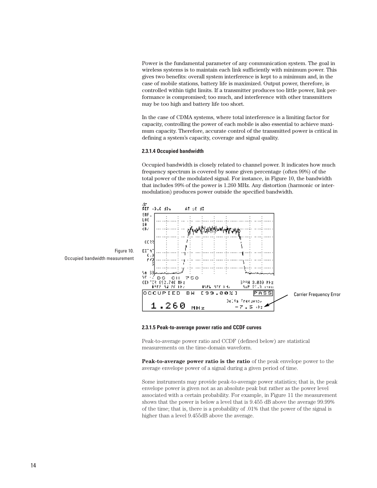Power is the fundamental parameter of any communication system. The goal in wireless systems is to maintain each link sufficiently with minimum power. This gives two benefits: overall system interference is kept to a minimum and, in the case of mobile stations, battery life is maximized. Output power, therefore, is controlled within tight limits. If a transmitter produces too little power, link performance is compromised; too much, and interference with other transmitters may be too high and battery life too short.

In the case of CDMA systems, where total interference is a limiting factor for capacity, controlling the power of each mobile is also essential to achieve maximum capacity. Therefore, accurate control of the transmitted power is critical in defining a system's capacity, coverage and signal quality.

#### **2.3.1.4 Occupied bandwidth**

Occupied bandwidth is closely related to channel power. It indicates how much frequency spectrum is covered by some given percentage (often 99%) of the total power of the modulated signal. For instance, in Figure 10, the bandwidth that includes 99% of the power is 1.260 MHz. Any distortion (harmonic or intermodulation) produces power outside the specified bandwidth.



**2.3.1.5 Peak-to-average power ratio and CCDF curves**

Peak-to-average power ratio and CCDF (defined below) are statistical measurements on the time-domain waveform.

**Peak-to-average power ratio is the ratio** of the peak envelope power to the average envelope power of a signal during a given period of time.

Some instruments may provide peak-to-average power statistics; that is, the peak envelope power is given not as an absolute peak but rather as the power level associated with a certain probability. For example, in Figure 11 the measurement shows that the power is below a level that is 9.455 dB above the average 99.99% of the time; that is, there is a probability of .01% that the power of the signal is higher than a level 9.455dB above the average.

Occupied bandwidth measurement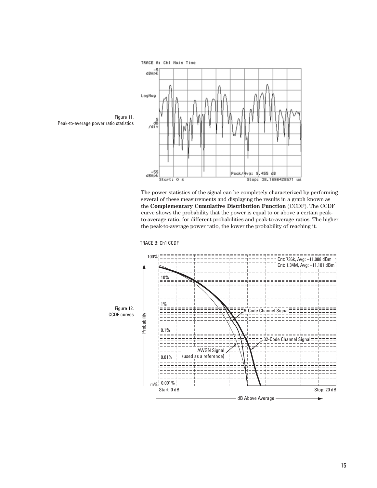

The power statistics of the signal can be completely characterized by performing several of these measurements and displaying the results in a graph known as the **Complementary Cumulative Distribution Function** (CCDF). The CCDF curve shows the probability that the power is equal to or above a certain peakto-average ratio, for different probabilities and peak-to-average ratios. The higher the peak-to-average power ratio, the lower the probability of reaching it.



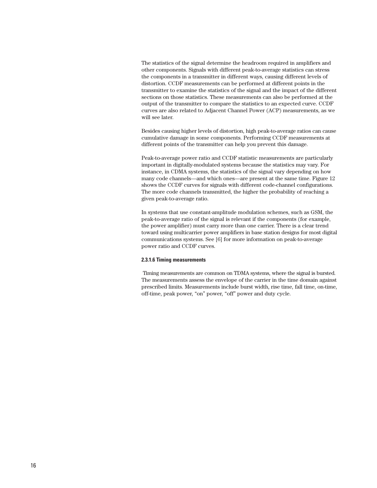The statistics of the signal determine the headroom required in amplifiers and other components. Signals with different peak-to-average statistics can stress the components in a transmitter in different ways, causing different levels of distortion. CCDF measurements can be performed at different points in the transmitter to examine the statistics of the signal and the impact of the different sections on those statistics. These measurements can also be performed at the output of the transmitter to compare the statistics to an expected curve. CCDF curves are also related to Adjacent Channel Power (ACP) measurements, as we will see later.

Besides causing higher levels of distortion, high peak-to-average ratios can cause cumulative damage in some components. Performing CCDF measurements at different points of the transmitter can help you prevent this damage.

Peak-to-average power ratio and CCDF statistic measurements are particularly important in digitally-modulated systems because the statistics may vary. For instance, in CDMA systems, the statistics of the signal vary depending on how many code channels—and which ones—are present at the same time. Figure 12 shows the CCDF curves for signals with different code-channel configurations. The more code channels transmitted, the higher the probability of reaching a given peak-to-average ratio.

In systems that use constant-amplitude modulation schemes, such as GSM, the peak-to-average ratio of the signal is relevant if the components (for example, the power amplifier) must carry more than one carrier. There is a clear trend toward using multicarrier power amplifiers in base station designs for most digital communications systems. See [6] for more information on peak-to-average power ratio and CCDF curves.

#### **2.3.1.6 Timing measurements**

Timing measurements are common on TDMA systems, where the signal is bursted. The measurements assess the envelope of the carrier in the time domain against prescribed limits. Measurements include burst width, rise time, fall time, on-time, off-time, peak power, "on" power, "off" power and duty cycle.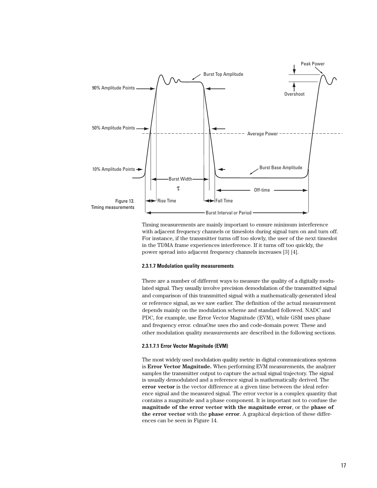

Timing measurements are mainly important to ensure minimum interference with adjacent frequency channels or timeslots during signal turn on and turn off. For instance, if the transmitter turns off too slowly, the user of the next timeslot in the TDMA frame experiences interference. If it turns off too quickly, the power spread into adjacent frequency channels increases [3] [4].

#### **2.3.1.7 Modulation quality measurements**

There are a number of different ways to measure the quality of a digitally modulated signal. They usually involve precision demodulation of the transmitted signal and comparison of this transmitted signal with a mathematically-generated ideal or reference signal, as we saw earlier. The definition of the actual measurement depends mainly on the modulation scheme and standard followed. NADC and PDC, for example, use Error Vector Magnitude (EVM), while GSM uses phase and frequency error. cdmaOne uses rho and code-domain power. These and other modulation quality measurements are described in the following sections.

#### **2.3.1.7.1 Error Vector Magnitude (EVM)**

The most widely used modulation quality metric in digital communications systems is **Error Vector Magnitude.** When performing EVM measurements, the analyzer samples the transmitter output to capture the actual signal trajectory. The signal is usually demodulated and a reference signal is mathematically derived. The **error vector** is the vector difference at a given time between the ideal reference signal and the measured signal. The error vector is a complex quantity that contains a magnitude and a phase component. It is important not to confuse the **magnitude of the error vector with the magnitude error**, or the **phase of the error vector** with the **phase error**. A graphical depiction of these differences can be seen in Figure 14.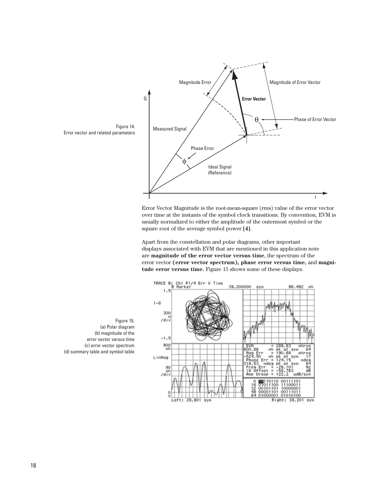

Error Vector Magnitude is the root-mean-square (rms) value of the error vector over time at the instants of the symbol clock transitions. By convention, EVM is usually normalized to either the amplitude of the outermost symbol or the square root of the average symbol power **[4]**.

Apart from the constellation and polar diagrams, other important displays associated with EVM that are mentioned in this application note are **magnitude of the error vector versus time**, the spectrum of the error vector **(error vector spectrum), phase error versus time,** and **magnitude error versus time.** Figure 15 shows some of these displays.



Figure 15. (a) Polar diagram (b) magnitude of the error vector versus time (c) error vector spectrum (d) summary table and symbol table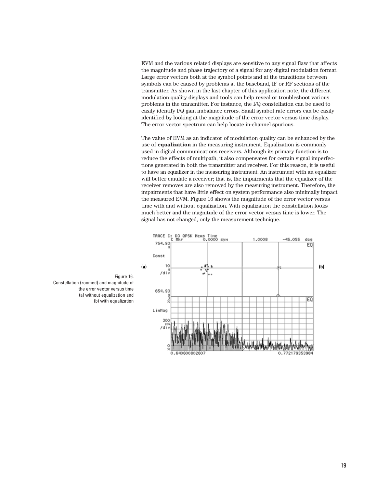EVM and the various related displays are sensitive to any signal flaw that affects the magnitude and phase trajectory of a signal for any digital modulation format. Large error vectors both at the symbol points and at the transitions between symbols can be caused by problems at the baseband, IF or RF sections of the transmitter. As shown in the last chapter of this application note, the different modulation quality displays and tools can help reveal or troubleshoot various problems in the transmitter. For instance, the I/Q constellation can be used to easily identify I/Q gain imbalance errors. Small symbol rate errors can be easily identified by looking at the magnitude of the error vector versus time display. The error vector spectrum can help locate in-channel spurious.

The value of EVM as an indicator of modulation quality can be enhanced by the use of **equalization** in the measuring instrument. Equalization is commonly used in digital communications receivers. Although its primary function is to reduce the effects of multipath, it also compensates for certain signal imperfections generated in both the transmitter and receiver. For this reason, it is useful to have an equalizer in the measuring instrument. An instrument with an equalizer will better emulate a receiver; that is, the impairments that the equalizer of the receiver removes are also removed by the measuring instrument. Therefore, the impairments that have little effect on system performance also minimally impact the measured EVM. Figure 16 shows the magnitude of the error vector versus time with and without equalization. With equalization the constellation looks much better and the magnitude of the error vector versus time is lower. The signal has not changed, only the measurement technique.



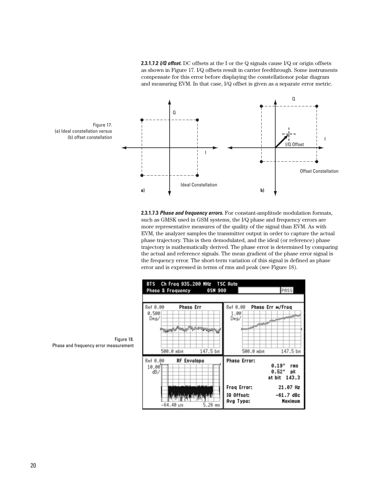**2.3.1.7.2** *I/Q offset.* DC offsets at the I or the Q signals cause I/Q or origin offsets as shown in Figure 17. I/Q offsets result in carrier feedthrough. Some instruments compensate for this error before displaying the constellationor polar diagram and measuring EVM. In that case, I/Q offset is given as a separate error metric.



**2.3.1.7.3** *Phase and frequency errors.* For constant-amplitude modulation formats, such as GMSK used in GSM systems, the I/Q phase and frequency errors are more representative measures of the quality of the signal than EVM. As with EVM, the analyzer samples the transmitter output in order to capture the actual phase trajectory. This is then demodulated, and the ideal (or reference) phase trajectory is mathematically derived. The phase error is determined by comparing the actual and reference signals. The mean gradient of the phase error signal is the frequency error. The short-term variation of this signal is defined as phase error and is expressed in terms of rms and peak (see Figure 18).





Figure 18. Phase and frequency error measurement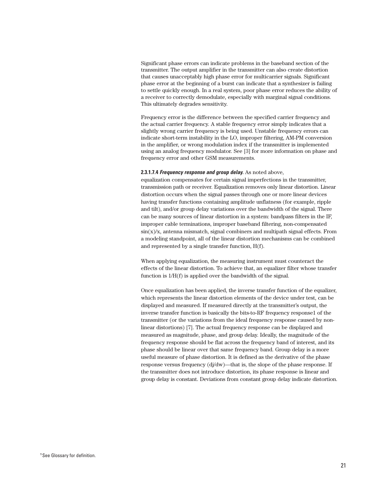Significant phase errors can indicate problems in the baseband section of the transmitter. The output amplifier in the transmitter can also create distortion that causes unacceptably high phase error for multicarrier signals. Significant phase error at the beginning of a burst can indicate that a synthesizer is failing to settle quickly enough. In a real system, poor phase error reduces the ability of a receiver to correctly demodulate, especially with marginal signal conditions. This ultimately degrades sensitivity.

Frequency error is the difference between the specified carrier frequency and the actual carrier frequency. A stable frequency error simply indicates that a slightly wrong carrier frequency is being used. Unstable frequency errors can indicate short-term instability in the LO, improper filtering, AM-PM conversion in the amplifier, or wrong modulation index if the transmitter is implemented using an analog frequency modulator. See [3] for more information on phase and frequency error and other GSM measurements.

#### **2.3.1.7.4** *Frequency response and group delay.* As noted above,

equalization compensates for certain signal imperfections in the transmitter, transmission path or receiver. Equalization removes only linear distortion. Linear distortion occurs when the signal passes through one or more linear devices having transfer functions containing amplitude unflatness (for example, ripple and tilt), and/or group delay variations over the bandwidth of the signal. There can be many sources of linear distortion in a system: bandpass filters in the IF, improper cable terminations, improper baseband filtering, non-compensated  $\sin(x)/x$ , antenna mismatch, signal combiners and multipath signal effects. From a modeling standpoint, all of the linear distortion mechanisms can be combined and represented by a single transfer function, H(f).

When applying equalization, the measuring instrument must counteract the effects of the linear distortion. To achieve that, an equalizer filter whose transfer function is 1/H(f) is applied over the bandwidth of the signal.

Once equalization has been applied, the inverse transfer function of the equalizer, which represents the linear distortion elements of the device under test, can be displayed and measured. If measured directly at the transmitter's output, the inverse transfer function is basically the bits-to-RF frequency response1 of the transmitter (or the variations from the ideal frequency response caused by nonlinear distortions) [7]. The actual frequency response can be displayed and measured as magnitude, phase, and group delay. Ideally, the magnitude of the frequency response should be flat across the frequency band of interest, and its phase should be linear over that same frequency band. Group delay is a more useful measure of phase distortion. It is defined as the derivative of the phase response versus frequency  $\frac{d}{d}$ w)—that is, the slope of the phase response. If the transmitter does not introduce distortion, its phase response is linear and group delay is constant. Deviations from constant group delay indicate distortion.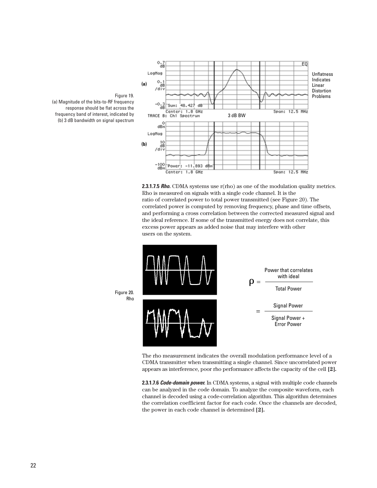



**2.3.1.7.5** *Rho.* CDMA systems use r(rho) as one of the modulation quality metrics. Rho is measured on signals with a single code channel. It is the ratio of correlated power to total power transmitted (see Figure 20). The correlated power is computed by removing frequency, phase and time offsets, and performing a cross correlation between the corrected measured signal and the ideal reference. If some of the transmitted energy does not correlate, this excess power appears as added noise that may interfere with other users on the system.



The rho measurement indicates the overall modulation performance level of a CDMA transmitter when transmitting a single channel. Since uncorrelated power appears as interference, poor rho performance affects the capacity of the cell **[2].**

**2.3.1.7.6** *Code-domain power.* In CDMA systems, a signal with multiple code channels can be analyzed in the code domain. To analyze the composite waveform, each channel is decoded using a code-correlation algorithm. This algorithm determines the correlation coefficient factor for each code. Once the channels are decoded, the power in each code channel is determined **[2].**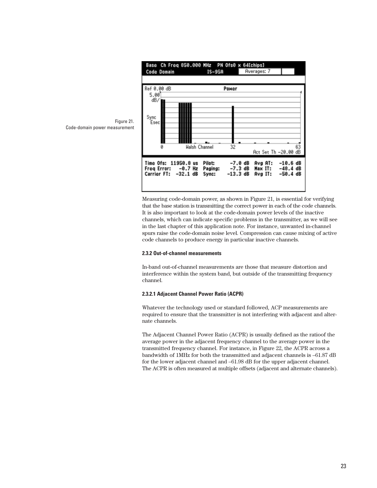

Measuring code-domain power, as shown in Figure 21, is essential for verifying that the base station is transmitting the correct power in each of the code channels. It is also important to look at the code-domain power levels of the inactive channels, which can indicate specific problems in the transmitter, as we will see in the last chapter of this application note. For instance, unwanted in-channel spurs raise the code-domain noise level. Compression can cause mixing of active code channels to produce energy in particular inactive channels.

#### **2.3.2 Out-of-channel measurements**

In-band out-of-channel measurements are those that measure distortion and interference within the system band, but outside of the transmitting frequency channel.

#### **2.3.2.1 Adjacent Channel Power Ratio (ACPR)**

Whatever the technology used or standard followed, ACP measurements are required to ensure that the transmitter is not interfering with adjacent and alternate channels.

The Adjacent Channel Power Ratio (ACPR) is usually defined as the ratioof the average power in the adjacent frequency channel to the average power in the transmitted frequency channel. For instance, in Figure 22, the ACPR across a bandwidth of 1MHz for both the transmitted and adjacent channels is –61.87 dB for the lower adjacent channel and –61.98 dB for the upper adjacent channel. The ACPR is often measured at multiple offsets (adjacent and alternate channels).

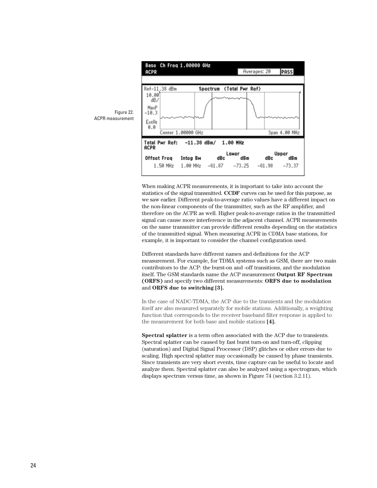

When making ACPR measurements, it is important to take into account the statistics of the signal transmitted. **CCDF** curves can be used for this purpose, as we saw earlier. Different peak-to-average ratio values have a different impact on the non-linear components of the transmitter, such as the RF amplifier, and therefore on the ACPR as well. Higher peak-to-average ratios in the transmitted signal can cause more interference in the adjacent channel. ACPR measurements on the same transmitter can provide different results depending on the statistics of the transmitted signal. When measuring ACPR in CDMA base stations, for example, it is important to consider the channel configuration used.

Different standards have different names and definitions for the ACP measurement. For example, for TDMA systems such as GSM, there are two main contributors to the ACP: the burst-on and -off transitions, and the modulation itself. The GSM standards name the ACP measurement **Output RF Spectrum (ORFS)** and specify two different measurements: **ORFS due to modulation** and **ORFS due to switching [3].**

In the case of NADC-TDMA, the ACP due to the transients and the modulation itself are also measured separately for mobile stations. Additionally, a weighting function that corresponds to the receiver baseband filter response is applied to the measurement for both base and mobile stations **[4].**

**Spectral splatter** is a term often associated with the ACP due to transients. Spectral splatter can be caused by fast burst turn-on and turn-off, clipping (saturation) and Digital Signal Processor (DSP) glitches or other errors due to scaling. High spectral splatter may occasionally be caused by phase transients. Since transients are very short events, time capture can be useful to locate and analyze them. Spectral splatter can also be analyzed using a spectrogram, which displays spectrum versus time, as shown in Figure 74 (section 3.2.11).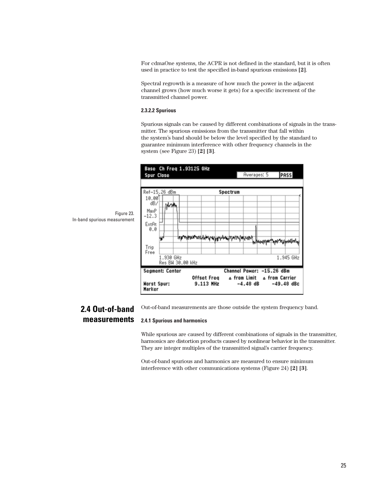For cdmaOne systems, the ACPR is not defined in the standard, but it is often used in practice to test the specified in-band spurious emissions **[2]**.

Spectral regrowth is a measure of how much the power in the adjacent channel grows (how much worse it gets) for a specific increment of the transmitted channel power.

#### **2.3.2.2 Spurious**

Spurious signals can be caused by different combinations of signals in the transmitter. The spurious emissions from the transmitter that fall within the system's band should be below the level specified by the standard to guarantee minimum interference with other frequency channels in the system (see Figure 23) **[2] [3]**.



In-band spurious measurement

## **2.4 Out-of-band measurements**

Out-of-band measurements are those outside the system frequency band.

#### **2.4.1 Spurious and harmonics**

While spurious are caused by different combinations of signals in the transmitter, harmonics are distortion products caused by nonlinear behavior in the transmitter. They are integer multiples of the transmitted signal's carrier frequency.

Out-of-band spurious and harmonics are measured to ensure minimum interference with other communications systems (Figure 24) **[2] [3]**.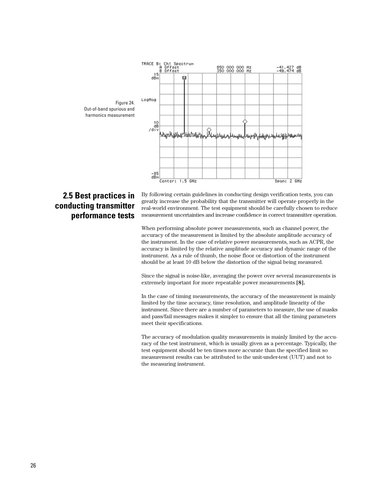

# **2.5 Best practices in conducting transmitter performance tests**

By following certain guidelines in conducting design verification tests, you can greatly increase the probability that the transmitter will operate properly in the real-world environment. The test equipment should be carefully chosen to reduce measurement uncertainties and increase confidence in correct transmitter operation.

When performing absolute power measurements, such as channel power, the accuracy of the measurement is limited by the absolute amplitude accuracy of the instrument. In the case of relative power measurements, such as ACPR, the accuracy is limited by the relative amplitude accuracy and dynamic range of the instrument. As a rule of thumb, the noise floor or distortion of the instrument should be at least 10 dB below the distortion of the signal being measured.

Since the signal is noise-like, averaging the power over several measurements is extremely important for more repeatable power measurements **[8].**

In the case of timing measurements, the accuracy of the measurement is mainly limited by the time accuracy, time resolution, and amplitude linearity of the instrument. Since there are a number of parameters to measure, the use of masks and pass/fail messages makes it simpler to ensure that all the timing parameters meet their specifications.

The accuracy of modulation quality measurements is mainly limited by the accuracy of the test instrument, which is usually given as a percentage. Typically, the test equipment should be ten times more accurate than the specified limit so measurement results can be attributed to the unit-under-test (UUT) and not to the measuring instrument.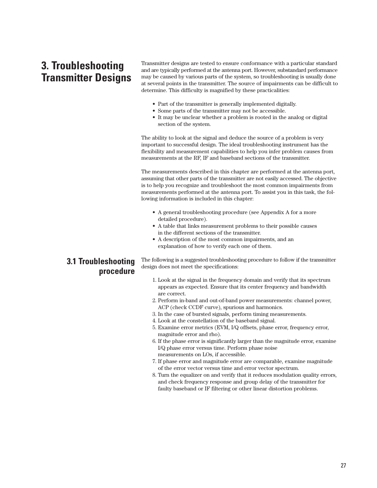# **3. Troubleshooting Transmitter Designs**

Transmitter designs are tested to ensure conformance with a particular standard and are typically performed at the antenna port. However, substandard performance may be caused by various parts of the system, so troubleshooting is usually done at several points in the transmitter. The source of impairments can be difficult to determine. This difficulty is magnified by these practicalities:

- Part of the transmitter is generally implemented digitally.
- Some parts of the transmitter may not be accessible.
- It may be unclear whether a problem is rooted in the analog or digital section of the system.

The ability to look at the signal and deduce the source of a problem is very important to successful design. The ideal troubleshooting instrument has the flexibility and measurement capabilities to help you infer problem causes from measurements at the RF, IF and baseband sections of the transmitter.

The measurements described in this chapter are performed at the antenna port, assuming that other parts of the transmitter are not easily accessed. The objective is to help you recognize and troubleshoot the most common impairments from measurements performed at the antenna port. To assist you in this task, the following information is included in this chapter:

- A general troubleshooting procedure (see Appendix A for a more detailed procedure).
- A table that links measurement problems to their possible causes in the different sections of the transmitter.
- A description of the most common impairments, and an explanation of how to verify each one of them.

## **3.1 Troubleshooting procedure**

The following is a suggested troubleshooting procedure to follow if the transmitter design does not meet the specifications:

- 1. Look at the signal in the frequency domain and verify that its spectrum appears as expected. Ensure that its center frequency and bandwidth are correct.
- 2. Perform in-band and out-of-band power measurements: channel power, ACP (check CCDF curve), spurious and harmonics.
- 3. In the case of bursted signals, perform timing measurements.
- 4. Look at the constellation of the baseband signal.
- 5. Examine error metrics (EVM, I/Q offsets, phase error, frequency error, magnitude error and rho).
- 6. If the phase error is significantly larger than the magnitude error, examine I/Q phase error versus time. Perform phase noise measurements on LOs, if accessible.
- 7. If phase error and magnitude error are comparable, examine magnitude of the error vector versus time and error vector spectrum.
- 8. Turn the equalizer on and verify that it reduces modulation quality errors, and check frequency response and group delay of the transmitter for faulty baseband or IF filtering or other linear distortion problems.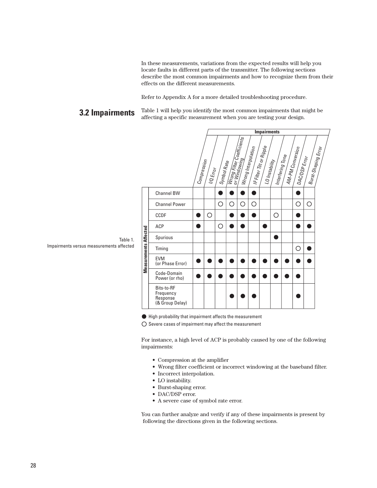In these measurements, variations from the expected results will help you locate faults in different parts of the transmitter. The following sections describe the most common impairments and how to recognize them from their effects on the different measurements.

Refer to Appendix A for a more detailed troubleshooting procedure.

#### Table 1 will help you identify the most common impairments that might be affecting a specific measurement when you are testing your design. **3.2 Impairments**



Table 1. Impairments versus measurements affected

High probability that impairment affects the measurement

 $\bigcirc$  Severe cases of impairment may affect the measurement

For instance, a high level of ACP is probably caused by one of the following impairments:

- Compression at the amplifier
- Wrong filter coefficient or incorrect windowing at the baseband filter.
- Incorrect interpolation.
- LO instability.
- Burst-shaping error.
- DAC/DSP error.
- A severe case of symbol rate error.

You can further analyze and verify if any of these impairments is present by following the directions given in the following sections.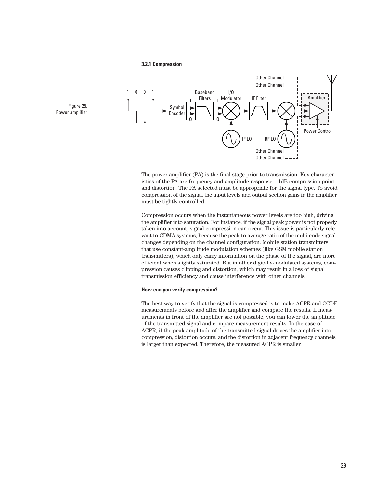#### **3.2.1 Compression**



The power amplifier (PA) is the final stage prior to transmission. Key characteristics of the PA are frequency and amplitude response, –1dB compression point and distortion. The PA selected must be appropriate for the signal type. To avoid compression of the signal, the input levels and output section gains in the amplifier must be tightly controlled.

Compression occurs when the instantaneous power levels are too high, driving the amplifier into saturation. For instance, if the signal peak power is not properly taken into account, signal compression can occur. This issue is particularly relevant to CDMA systems, because the peak-to-average ratio of the multi-code signal changes depending on the channel configuration. Mobile station transmitters that use constant-amplitude modulation schemes (like GSM mobile station transmitters), which only carry information on the phase of the signal, are more efficient when slightly saturated. But in other digitally-modulated systems, compression causes clipping and distortion, which may result in a loss of signal transmission efficiency and cause interference with other channels.

#### **How can you verify compression?**

The best way to verify that the signal is compressed is to make ACPR and CCDF measurements before and after the amplifier and compare the results. If measurements in front of the amplifier are not possible, you can lower the amplitude of the transmitted signal and compare measurement results. In the case of ACPR, if the peak amplitude of the transmitted signal drives the amplifier into compression, distortion occurs, and the distortion in adjacent frequency channels is larger than expected. Therefore, the measured ACPR is smaller.

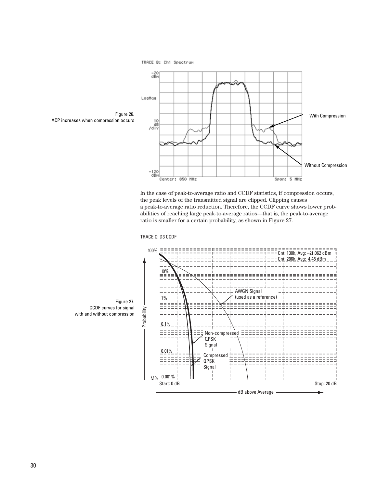

In the case of peak-to-average ratio and CCDF statistics, if compression occurs, the peak levels of the transmitted signal are clipped. Clipping causes a peak-to-average ratio reduction. Therefore, the CCDF curve shows lower probabilities of reaching large peak-to-average ratios—that is, the peak-to-average ratio is smaller for a certain probability, as shown in Figure 27.



CCDF curves for signal

TRACE C: D3 CCDF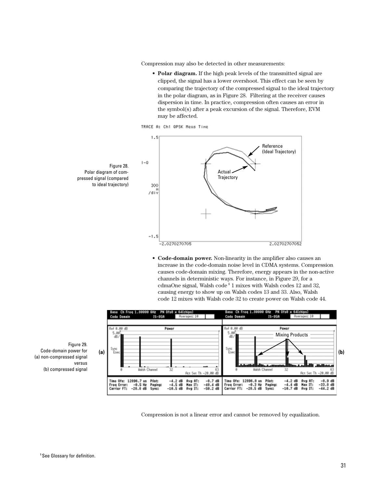Compression may also be detected in other measurements:

**• Polar diagram.** If the high peak levels of the transmitted signal are clipped, the signal has a lower overshoot. This effect can be seen by comparing the trajectory of the compressed signal to the ideal trajectory in the polar diagram, as in Figure 28. Filtering at the receiver causes dispersion in time. In practice, compression often causes an error in the symbol(s) after a peak excursion of the signal. Therefore, EVM may be affected.





**• Code-domain power.** Non-linearity in the amplifier also causes an increase in the code-domain noise level in CDMA systems. Compression causes code-domain mixing. Therefore, energy appears in the non-active channels in deterministic ways. For instance, in Figure 29, for a cdmaOne signal, Walsh code **<sup>1</sup>** 1 mixes with Walsh codes 12 and 32, causing energy to show up on Walsh codes 13 and 33. Also, Walsh code 12 mixes with Walsh code 32 to create power on Walsh code 44.



Compression is not a linear error and cannot be removed by equalization.

Figure 29. Code-domain power for (a) non-compressed signal versus (b) compressed signal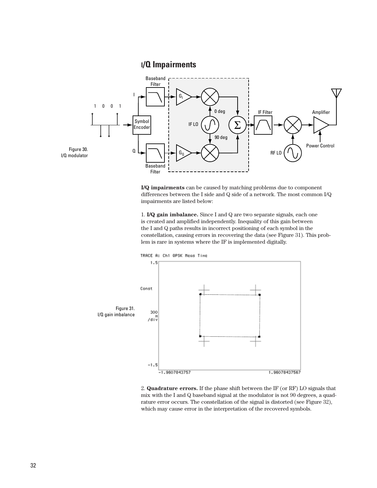## **I/Q Impairments**



**I/Q impairments** can be caused by matching problems due to component differences between the I side and Q side of a network. The most common I/Q impairments are listed below:

1. **I/Q gain imbalance.** Since I and Q are two separate signals, each one is created and amplified independently. Inequality of this gain between the I and Q paths results in incorrect positioning of each symbol in the constellation, causing errors in recovering the data (see Figure 31). This problem is rare in systems where the IF is implemented digitally.



2. **Quadrature errors.** If the phase shift between the IF (or RF) LO signals that mix with the I and Q baseband signal at the modulator is not 90 degrees, a quadrature error occurs. The constellation of the signal is distorted (see Figure 32), which may cause error in the interpretation of the recovered symbols.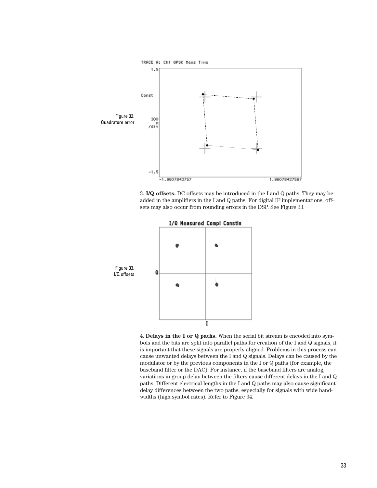

3. **I/Q offsets.** DC offsets may be introduced in the I and Q paths. They may be added in the amplifiers in the I and Q paths. For digital IF implementations, offsets may also occur from rounding errors in the DSP. See Figure 33.



4. **Delays in the I or Q paths.** When the serial bit stream is encoded into symbols and the bits are split into parallel paths for creation of the I and Q signals, it is important that these signals are properly aligned. Problems in this process can cause unwanted delays between the I and Q signals. Delays can be caused by the modulator or by the previous components in the I or Q paths (for example, the baseband filter or the DAC). For instance, if the baseband filters are analog, variations in group delay between the filters cause different delays in the I and Q paths. Different electrical lengths in the I and Q paths may also cause significant delay differences between the two paths, especially for signals with wide bandwidths (high symbol rates). Refer to Figure 34.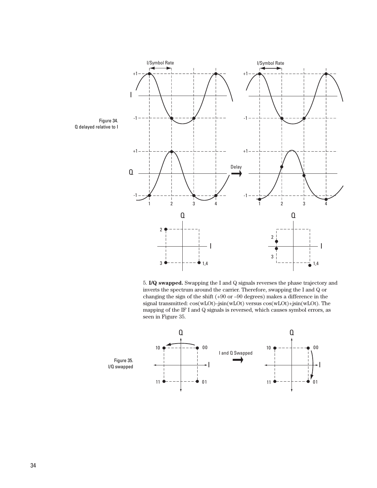

5. **I/Q swapped.** Swapping the I and Q signals reverses the phase trajectory and inverts the spectrum around the carrier. Therefore, swapping the I and Q or changing the sign of the shift (+90 or –90 degrees) makes a difference in the signal transmitted: cos(wLOt)–jsin(wLOt) versus cos(wLOt)+jsin(wLOt). The mapping of the IF I and Q signals is reversed, which causes symbol errors, as seen in Figure 35.



Q delayed relative to I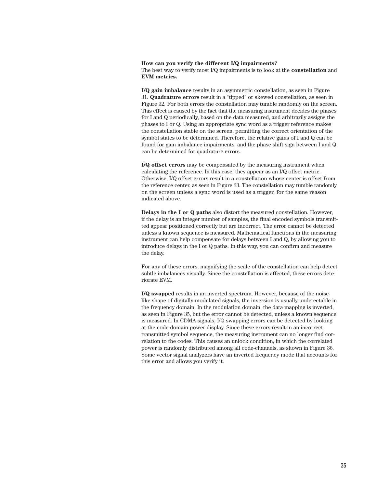**How can you verify the different I/Q impairments?** The best way to verify most I/Q impairments is to look at the **constellation** and **EVM metrics.** 

**I/Q gain imbalance** results in an asymmetric constellation, as seen in Figure 31. **Quadrature errors** result in a "tipped" or skewed constellation, as seen in Figure 32. For both errors the constellation may tumble randomly on the screen. This effect is caused by the fact that the measuring instrument decides the phases for I and Q periodically, based on the data measured, and arbitrarily assigns the phases to I or Q. Using an appropriate sync word as a trigger reference makes the constellation stable on the screen, permitting the correct orientation of the symbol states to be determined. Therefore, the relative gains of I and Q can be found for gain imbalance impairments, and the phase shift sign between I and Q can be determined for quadrature errors.

**I/Q offset errors** may be compensated by the measuring instrument when calculating the reference. In this case, they appear as an I/Q offset metric. Otherwise, I/Q offset errors result in a constellation whose center is offset from the reference center, as seen in Figure 33. The constellation may tumble randomly on the screen unless a sync word is used as a trigger, for the same reason indicated above.

**Delays in the I or Q paths** also distort the measured constellation. However, if the delay is an integer number of samples, the final encoded symbols transmitted appear positioned correctly but are incorrect. The error cannot be detected unless a known sequence is measured. Mathematical functions in the measuring instrument can help compensate for delays between I and Q, by allowing you to introduce delays in the I or Q paths. In this way, you can confirm and measure the delay.

For any of these errors, magnifying the scale of the constellation can help detect subtle imbalances visually. Since the constellation is affected, these errors deteriorate EVM.

**I/Q swapped** results in an inverted spectrum. However, because of the noiselike shape of digitally-modulated signals, the inversion is usually undetectable in the frequency domain. In the modulation domain, the data mapping is inverted, as seen in Figure 35, but the error cannot be detected, unless a known sequence is measured. In CDMA signals, I/Q swapping errors can be detected by looking at the code-domain power display. Since these errors result in an incorrect transmitted symbol sequence, the measuring instrument can no longer find correlation to the codes. This causes an unlock condition, in which the correlated power is randomly distributed among all code-channels, as shown in Figure 36. Some vector signal analyzers have an inverted frequency mode that accounts for this error and allows you verify it.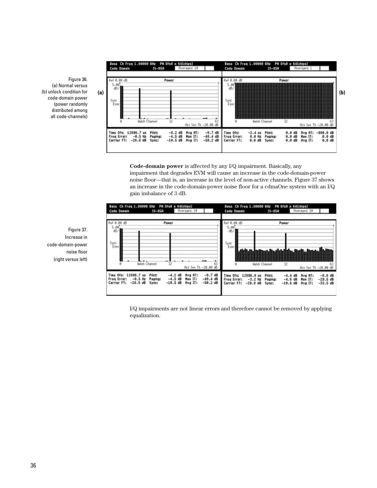Figure 36. (a) Normal versus (b) unlock condition for code-domain power (power randomly distributed among all code-channels)



**Code-domain power** is affected by any I/Q impairment. Basically, any impairment that degrades EVM will cause an increase in the code-domain-power noise floor—that is, an increase in the level of non-active channels. Figure 37 shows an increase in the code-domain-power noise floor for a cdmaOne system with an I/Q gain imbalance of 3 dB.



I/Q impairments are not linear errors and therefore cannot be removed by applying equalization.

Figure 37. Increase in code-domain-power noise floor (right versus left)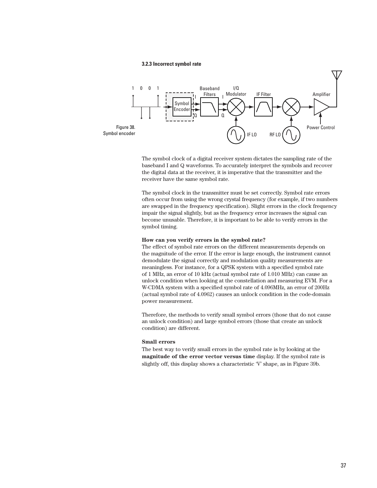#### **3.2.3 Incorrect symbol rate**



The symbol clock of a digital receiver system dictates the sampling rate of the baseband I and Q waveforms. To accurately interpret the symbols and recover the digital data at the receiver, it is imperative that the transmitter and the receiver have the same symbol rate.

The symbol clock in the transmitter must be set correctly. Symbol rate errors often occur from using the wrong crystal frequency (for example, if two numbers are swapped in the frequency specification). Slight errors in the clock frequency impair the signal slightly, but as the frequency error increases the signal can become unusable. Therefore, it is important to be able to verify errors in the symbol timing.

#### **How can you verify errors in the symbol rate?**

The effect of symbol rate errors on the different measurements depends on the magnitude of the error. If the error is large enough, the instrument cannot demodulate the signal correctly and modulation quality measurements are meaningless. For instance, for a QPSK system with a specified symbol rate of 1 MHz, an error of 10 kHz (actual symbol rate of 1.010 MHz) can cause an unlock condition when looking at the constellation and measuring EVM. For a W-CDMA system with a specified symbol rate of 4.096MHz, an error of 200Hz (actual symbol rate of 4.0962) causes an unlock condition in the code-domain power measurement.

Therefore, the methods to verify small symbol errors (those that do not cause an unlock condition) and large symbol errors (those that create an unlock condition) are different.

#### **Small errors**

The best way to verify small errors in the symbol rate is by looking at the **magnitude of the error vector versus time** display. If the symbol rate is slightly off, this display shows a characteristic 'V' shape, as in Figure 39b.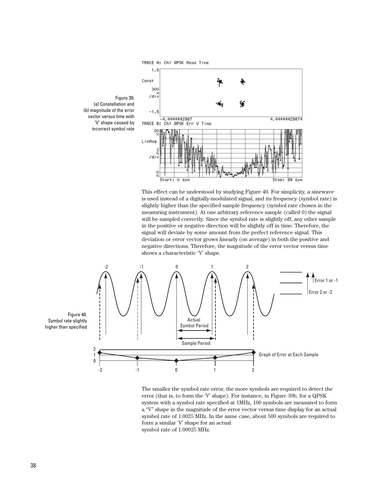

Figure 39. (a) Constellation and (b) magnitude of the error vector versus time with 'V' shape caused by incorrect symbol rate

This effect can be understood by studying Figure 40. For simplicity, a sinewave is used instead of a digitally-modulated signal, and its frequency (symbol rate) is slightly higher than the specified sample frequency (symbol rate chosen in the measuring instrument). At one arbitrary reference sample (called 0) the signal will be sampled correctly. Since the symbol rate is slightly off, any other sample in the positive or negative direction will be slightly off in time. Therefore, the signal will deviate by some amount from the perfect reference signal. This deviation or error vector grows linearly (on average) in both the positive and negative directions. Therefore, the magnitude of the error vector versus time shows a characteristic 'V' shape.



The smaller the symbol rate error, the more symbols are required to detect the error (that is, to form the 'V' shape). For instance, in Figure 39b, for a QPSK system with a symbol rate specified at 1MHz, 100 symbols are measured to form a "V" shape in the magnitude of the error vector versus time display for an actual symbol rate of 1.0025 MHz. In the same case, about 500 symbols are required to form a similar 'V' shape for an actual symbol rate of 1.00025 MHz.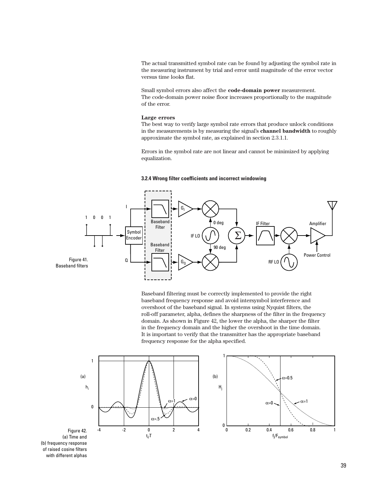The actual transmitted symbol rate can be found by adjusting the symbol rate in the measuring instrument by trial and error until magnitude of the error vector versus time looks flat.

Small symbol errors also affect the **code-domain power** measurement. The code-domain power noise floor increases proportionally to the magnitude of the error.

#### **Large errors**

The best way to verify large symbol rate errors that produce unlock conditions in the measurements is by measuring the signal's **channel bandwidth** to roughly approximate the symbol rate, as explained in section 2.3.1.1.

Errors in the symbol rate are not linear and cannot be minimized by applying equalization.

#### **3.2.4 Wrong filter coefficients and incorrect windowing**



Baseband filtering must be correctly implemented to provide the right baseband frequency response and avoid intersymbol interference and overshoot of the baseband signal. In systems using Nyquist filters, the roll-off parameter, alpha, defines the sharpness of the filter in the frequency domain. As shown in Figure 42, the lower the alpha, the sharper the filter in the frequency domain and the higher the overshoot in the time domain. It is important to verify that the transmitter has the appropriate baseband frequency response for the alpha specified.



(b) frequency response of raised cosine filters with different alphas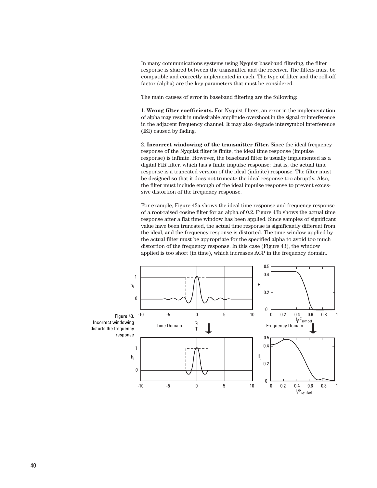In many communications systems using Nyquist baseband filtering, the filter response is shared between the transmitter and the receiver. The filters must be compatible and correctly implemented in each. The type of filter and the roll-off factor (alpha) are the key parameters that must be considered.

The main causes of error in baseband filtering are the following:

1. **Wrong filter coefficients.** For Nyquist filters, an error in the implementation of alpha may result in undesirable amplitude overshoot in the signal or interference in the adjacent frequency channel. It may also degrade intersymbol interference (ISI) caused by fading.

2. **Incorrect windowing of the transmitter filter.** Since the ideal frequency response of the Nyquist filter is finite, the ideal time response (impulse response) is infinite. However, the baseband filter is usually implemented as a digital FIR filter, which has a finite impulse response; that is, the actual time response is a truncated version of the ideal (infinite) response. The filter must be designed so that it does not truncate the ideal response too abruptly. Also, the filter must include enough of the ideal impulse response to prevent excessive distortion of the frequency response.

For example, Figure 43a shows the ideal time response and frequency response of a root-raised cosine filter for an alpha of 0.2. Figure 43b shows the actual time response after a flat time window has been applied. Since samples of significant value have been truncated, the actual time response is significantly different from the ideal, and the frequency response is distorted. The time window applied by the actual filter must be appropriate for the specified alpha to avoid too much distortion of the frequency response. In this case (Figure 43), the window applied is too short (in time), which increases ACP in the frequency domain.

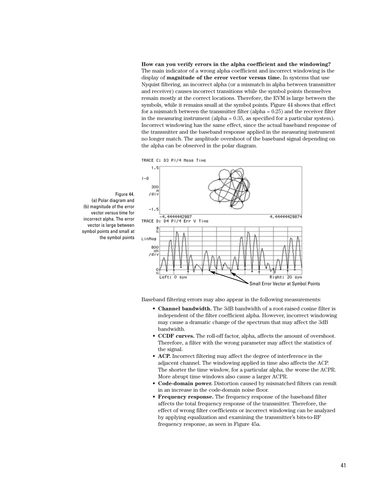#### **How can you verify errors in the alpha coefficient and the windowing?**

The main indicator of a wrong alpha coefficient and incorrect windowing is the display of **magnitude of the error vector versus time.** In systems that use Nyquist filtering, an incorrect alpha (or a mismatch in alpha between transmitter and receiver) causes incorrect transitions while the symbol points themselves remain mostly at the correct locations. Therefore, the EVM is large between the symbols, while it remains small at the symbol points. Figure 44 shows that effect for a mismatch between the transmitter filter (alpha  $= 0.25$ ) and the receiver filter in the measuring instrument (alpha = 0.35, as specified for a particular system). Incorrect windowing has the same effect, since the actual baseband response of the transmitter and the baseband response applied in the measuring instrument no longer match. The amplitude overshoot of the baseband signal depending on the alpha can be observed in the polar diagram.





(b) magnitude of the error vector versus time for incorrect alpha. The error vector is large between symbol points and small at the symbol points

(a) Polar diagram and

Figure 44.

Baseband filtering errors may also appear in the following measurements:

- **Channel bandwidth.** The 3dB bandwidth of a root-raised cosine filter is independent of the filter coefficient alpha. However, incorrect windowing may cause a dramatic change of the spectrum that may affect the 3dB bandwidth.
- **CCDF curves.** The roll-off factor, alpha, affects the amount of overshoot. Therefore, a filter with the wrong parameter may affect the statistics of the signal.
- **ACP.** Incorrect filtering may affect the degree of interference in the adjacent channel. The windowing applied in time also affects the ACP. The shorter the time window, for a particular alpha, the worse the ACPR. More abrupt time windows also cause a larger ACPR.
- **Code-domain power.** Distortion caused by mismatched filters can result in an increase in the code-domain noise floor.
- **Frequency response.** The frequency response of the baseband filter affects the total frequency response of the transmitter. Therefore, the effect of wrong filter coefficients or incorrect windowing can be analyzed by applying equalization and examining the transmitter's bits-to-RF frequency response, as seen in Figure 45a.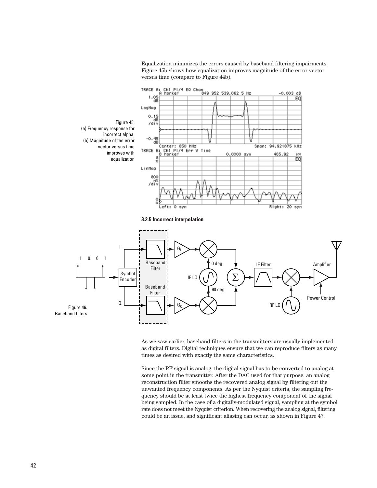Equalization minimizes the errors caused by baseband filtering impairments. Figure 45b shows how equalization improves magnitude of the error vector versus time (compare to Figure 44b).



**3.2.5 Incorrect interpolation**



As we saw earlier, baseband filters in the transmitters are usually implemented as digital filters. Digital techniques ensure that we can reproduce filters as many times as desired with exactly the same characteristics.

Since the RF signal is analog, the digital signal has to be converted to analog at some point in the transmitter. After the DAC used for that purpose, an analog reconstruction filter smooths the recovered analog signal by filtering out the unwanted frequency components. As per the Nyquist criteria, the sampling frequency should be at least twice the highest frequency component of the signal being sampled. In the case of a digitally-modulated signal, sampling at the symbol rate does not meet the Nyquist criterion. When recovering the analog signal, filtering could be an issue, and significant aliasing can occur, as shown in Figure 47.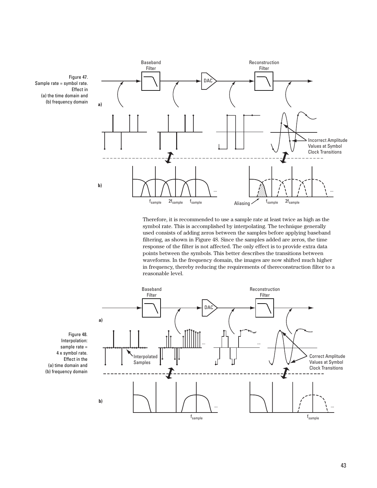

Therefore, it is recommended to use a sample rate at least twice as high as the symbol rate. This is accomplished by interpolating. The technique generally used consists of adding zeros between the samples before applying baseband filtering, as shown in Figure 48. Since the samples added are zeros, the time response of the filter is not affected. The only effect is to provide extra data points between the symbols. This better describes the transitions between waveforms. In the frequency domain, the images are now shifted much higher in frequency, thereby reducing the requirements of thereconstruction filter to a reasonable level.



Figure 48. Interpolation: sample rate = 4 x symbol rate. Effect in the (a) time domain and (b) frequency domain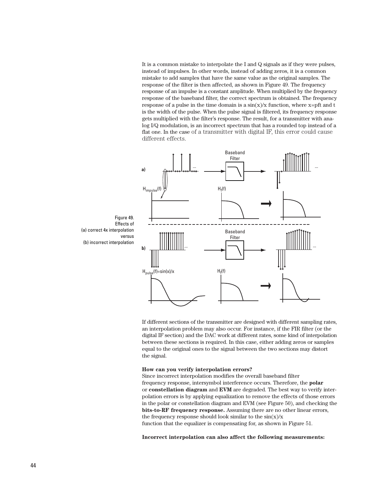It is a common mistake to interpolate the I and Q signals as if they were pulses, instead of impulses. In other words, instead of adding zeros, it is a common mistake to add samples that have the same value as the original samples. The response of the filter is then affected, as shown in Figure 49. The frequency response of an impulse is a constant amplitude. When multiplied by the frequency response of the baseband filter, the correct spectrum is obtained. The frequency response of a pulse in the time domain is a  $sin(x)/x$  function, where  $x=$ pft and t is the width of the pulse. When the pulse signal is filtered, its frequency response gets multiplied with the filter's response. The result, for a transmitter with analog I/Q modulation, is an incorrect spectrum that has a rounded top instead of a flat one. In the case of a transmitter with digital IF, this error could cause different effects.



If different sections of the transmitter are designed with different sampling rates, an interpolation problem may also occur. For instance, if the FIR filter (or the digital IF section) and the DAC work at different rates, some kind of interpolation between these sections is required. In this case, either adding zeros or samples equal to the original ones to the signal between the two sections may distort the signal.

#### **How can you verify interpolation errors?**

Since incorrect interpolation modifies the overall baseband filter frequency response, intersymbol interference occurs. Therefore, the **polar**  or **constellation diagram** and **EVM** are degraded. The best way to verify interpolation errors is by applying equalization to remove the effects of those errors in the polar or constellation diagram and EVM (see Figure 50), and checking the **bits-to-RF frequency response.** Assuming there are no other linear errors, the frequency response should look similar to the  $sin(x)/x$ function that the equalizer is compensating for, as shown in Figure 51.

**Incorrect interpolation can also affect the following measurements:**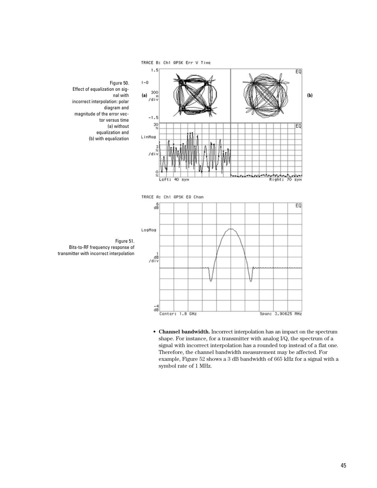



 $\frac{-4}{18}$ Center: 1.8 GHz Span: 3.90625 MHz

Figure 51. Bits-to-RF frequency response of transmitter with incorrect interpolation

**• Channel bandwidth.** Incorrect interpolation has an impact on the spectrum shape. For instance, for a transmitter with analog I/Q, the spectrum of a signal with incorrect interpolation has a rounded top instead of a flat one. Therefore, the channel bandwidth measurement may be affected. For example, Figure 52 shows a 3 dB bandwidth of 665 kHz for a signal with a symbol rate of 1 MHz.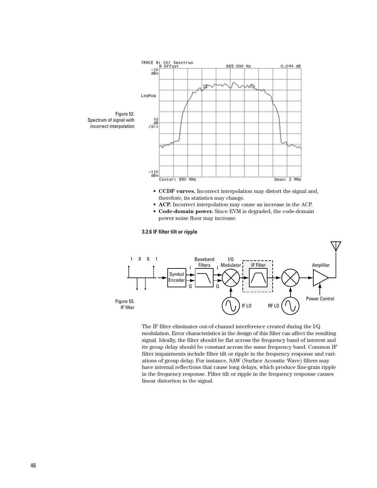

The IF filter eliminates out-of-channel interference created during the I/Q modulation. Error characteristics in the design of this filter can affect the resulting signal. Ideally, the filter should be flat across the frequency band of interest and its group delay should be constant across the same frequency band. Common IF filter impairments include filter tilt or ripple in the frequency response and variations of group delay. For instance, SAW (Surface Acoustic Wave) filters may have internal reflections that cause long delays, which produce fine-grain ripple in the frequency response. Filter tilt or ripple in the frequency response causes linear distortion in the signal.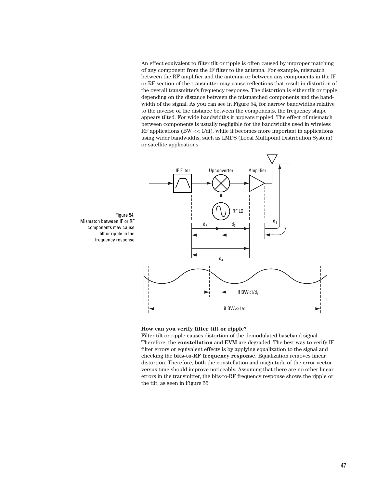An effect equivalent to filter tilt or ripple is often caused by improper matching of any component from the IF filter to the antenna. For example, mismatch between the RF amplifier and the antenna or between any components in the IF or RF section of the transmitter may cause reflections that result in distortion of the overall transmitter's frequency response. The distortion is either tilt or ripple, depending on the distance between the mismatched components and the bandwidth of the signal. As you can see in Figure 54, for narrow bandwidths relative to the inverse of the distance between the components, the frequency shape appears tilted. For wide bandwidths it appears rippled. The effect of mismatch between components is usually negligible for the bandwidths used in wireless RF applications (BW  $\lt\lt 1$ /di), while it becomes more important in applications using wider bandwidths, such as LMDS (Local Multipoint Distribution System) or satellite applications.



#### **How can you verify filter tilt or ripple?**

Filter tilt or ripple causes distortion of the demodulated baseband signal. Therefore, the **constellation** and **EVM** are degraded. The best way to verify IF filter errors or equivalent effects is by applying equalization to the signal and checking the **bits-to-RF frequency response.** Equalization removes linear distortion. Therefore, both the constellation and magnitude of the error vector versus time should improve noticeably. Assuming that there are no other linear errors in the transmitter, the bits-to-RF frequency response shows the ripple or the tilt, as seen in Figure 55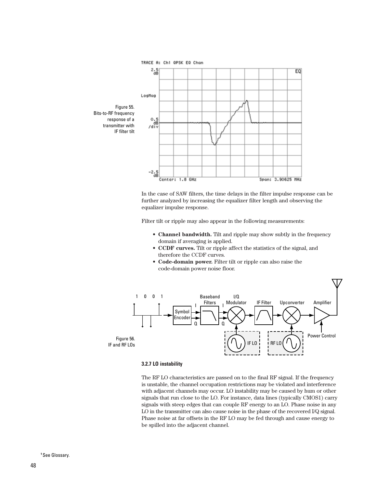

In the case of SAW filters, the time delays in the filter impulse response can be further analyzed by increasing the equalizer filter length and observing the equalizer impulse response.

Filter tilt or ripple may also appear in the following measurements:

- **Channel bandwidth.** Tilt and ripple may show subtly in the frequency domain if averaging is applied.
- **CCDF curves.** Tilt or ripple affect the statistics of the signal, and therefore the CCDF curves.
- **Code-domain power.** Filter tilt or ripple can also raise the code-domain power noise floor.



#### **3.2.7 LO instability**

The RF LO characteristics are passed on to the final RF signal. If the frequency is unstable, the channel occupation restrictions may be violated and interference with adjacent channels may occur. LO instability may be caused by hum or other signals that run close to the LO. For instance, data lines (typically CMOS1) carry signals with steep edges that can couple RF energy to an LO. Phase noise in any LO in the transmitter can also cause noise in the phase of the recovered I/Q signal. Phase noise at far offsets in the RF LO may be fed through and cause energy to be spilled into the adjacent channel.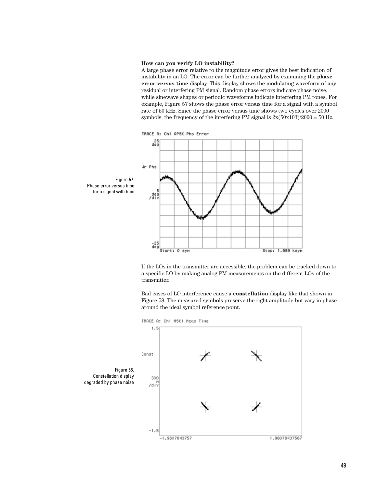#### **How can you verify LO instability?**

A large phase error relative to the magnitude error gives the best indication of instability in an LO. The error can be further analyzed by examining the **phase error versus time** display. This display shows the modulating waveform of any residual or interfering PM signal. Random phase errors indicate phase noise, while sinewave shapes or periodic waveforms indicate interfering PM tones. For example, Figure 57 shows the phase error versus time for a signal with a symbol rate of 50 kHz. Since the phase error versus time shows two cycles over 2000 symbols, the frequency of the interfering PM signal is  $2x(50x103)/2000 = 50$  Hz.



If the LOs in the transmitter are accessible, the problem can be tracked down to a specific LO by making analog PM measurements on the different LOs of the transmitter.

Bad cases of LO interference cause a **constellation** display like that shown in Figure 58. The measured symbols preserve the right amplitude but vary in phase around the ideal symbol reference point.

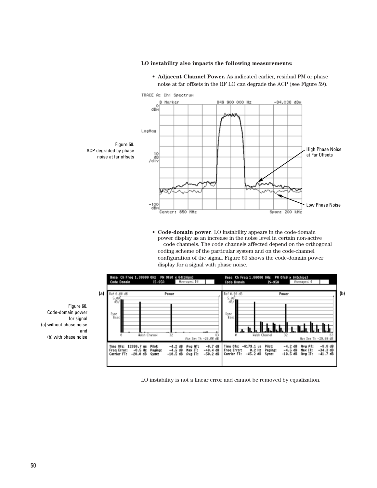#### **LO instability also impacts the following measurements:**



**• Adjacent Channel Power.** As indicated earlier, residual PM or phase noise at far offsets in the RF LO can degrade the ACP (see Figure 59).

**• Code-domain power**. LO instability appears in the code-domain power display as an increase in the noise level in certain non-active code channels. The code channels affected depend on the orthogonal coding scheme of the particular system and on the code-channel configuration of the signal. Figure 60 shows the code-domain power display for a signal with phase noise.



LO instability is not a linear error and cannot be removed by equalization.

Figure 60. Code-domain power for signal (a) without phase noise and (b) with phase noise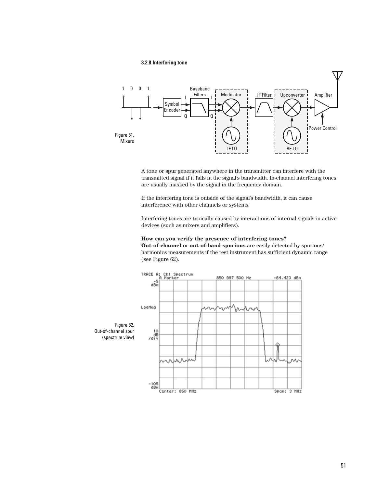#### **3.2.8 Interfering tone**



A tone or spur generated anywhere in the transmitter can interfere with the transmitted signal if it falls in the signal's bandwidth. In-channel interfering tones are usually masked by the signal in the frequency domain.

If the interfering tone is outside of the signal's bandwidth, it can cause interference with other channels or systems.

Interfering tones are typically caused by interactions of internal signals in active devices (such as mixers and amplifiers).

#### **How can you verify the presence of interfering tones? Out-of-channel** or **out-of-band spurious** are easily detected by spurious/

harmonics measurements if the test instrument has sufficient dynamic range (see Figure 62).

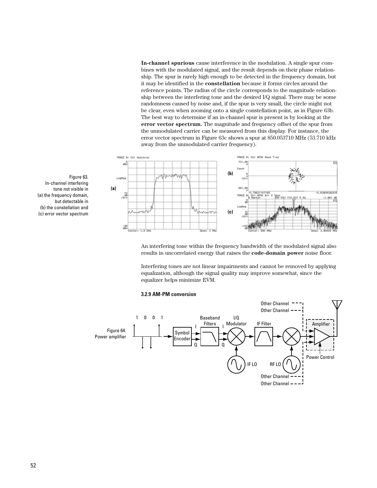**In-channel spurious** cause interference in the modulation. A single spur combines with the modulated signal, and the result depends on their phase relationship. The spur is rarely high enough to be detected in the frequency domain, but it may be identified in the **constellation** because it forms circles around the reference points. The radius of the circle corresponds to the magnitude relationship between the interfering tone and the desired I/Q signal. There may be some randomness caused by noise and, if the spur is very small, the circle might not be clear, even when zooming onto a single constellation point, as in Figure 63b. The best way to determine if an in-channel spur is present is by looking at the **error vector spectrum.** The magnitude and frequency offset of the spur from the unmodulated carrier can be measured from this display. For instance, the error vector spectrum in Figure 63c shows a spur at 850.053710 MHz (53.710 kHz away from the unmodulated carrier frequency).



An interfering tone within the frequency bandwidth of the modulated signal also results in uncorrelated energy that raises the **code-domain power** noise floor.

Interfering tones are not linear impairments and cannot be removed by applying equalization, although the signal quality may improve somewhat, since the equalizer helps minimize EVM.

#### **3.2.9 AM-PM conversion**



Figure 63. In-channel interfering tone not visible in (a) the frequency domain, but detectable in (b) the constellation and (c) error vector spectrum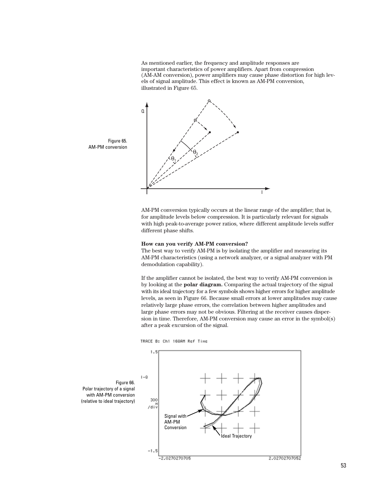As mentioned earlier, the frequency and amplitude responses are important characteristics of power amplifiers. Apart from compression (AM-AM conversion), power amplifiers may cause phase distortion for high levels of signal amplitude. This effect is known as AM-PM conversion, illustrated in Figure 65.



AM-PM conversion typically occurs at the linear range of the amplifier; that is, for amplitude levels below compression. It is particularly relevant for signals with high peak-to-average power ratios, where different amplitude levels suffer different phase shifts.

#### **How can you verify AM-PM conversion?**

The best way to verify AM-PM is by isolating the amplifier and measuring its AM-PM characteristics (using a network analyzer, or a signal analyzer with PM demodulation capability).

If the amplifier cannot be isolated, the best way to verify AM-PM conversion is by looking at the **polar diagram.** Comparing the actual trajectory of the signal with its ideal trajectory for a few symbols shows higher errors for higher amplitude levels, as seen in Figure 66. Because small errors at lower amplitudes may cause relatively large phase errors, the correlation between higher amplitudes and large phase errors may not be obvious. Filtering at the receiver causes dispersion in time. Therefore, AM-PM conversion may cause an error in the symbol(s) after a peak excursion of the signal.





Figure 65. AM-PM conversion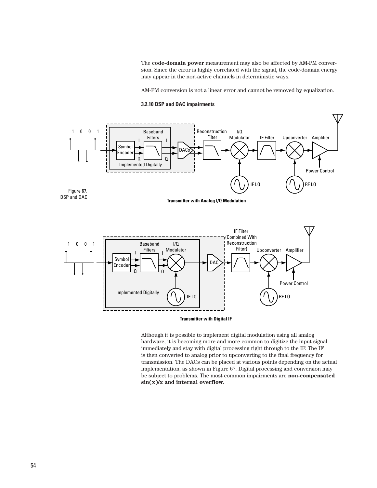The **code-domain power** measurement may also be affected by AM-PM conversion. Since the error is highly correlated with the signal, the code-domain energy may appear in the non-active channels in deterministic ways.

AM-PM conversion is not a linear error and cannot be removed by equalization.

#### **3.2.10 DSP and DAC impairments**





Although it is possible to implement digital modulation using all analog hardware, it is becoming more and more common to digitize the input signal immediately and stay with digital processing right through to the IF. The IF is then converted to analog prior to upconverting to the final frequency for transmission. The DACs can be placed at various points depending on the actual implementation, as shown in Figure 67. Digital processing and conversion may be subject to problems. The most common impairments are **non-compensated sin(x)/x and internal overflow.**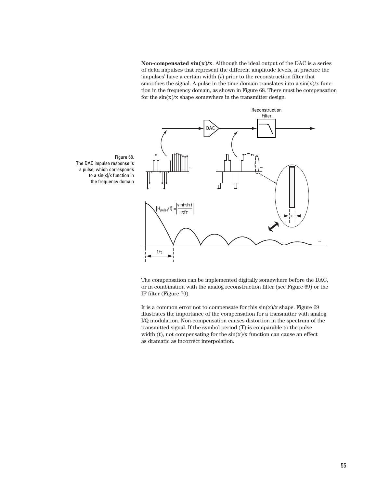**Non-compensated**  $\sin(x)/x$ . Although the ideal output of the DAC is a series of delta impulses that represent the different amplitude levels, in practice the 'impulses' have a certain width  $(t)$  prior to the reconstruction filter that smoothes the signal. A pulse in the time domain translates into a  $\sin(x)/x$  function in the frequency domain, as shown in Figure 68. There must be compensation for the  $sin(x)/x$  shape somewhere in the transmitter design.



Figure 68. The DAC impulse response is a pulse, which corresponds to a sin(x)/x function in the frequency domain

> The compensation can be implemented digitally somewhere before the DAC, or in combination with the analog reconstruction filter (see Figure 69) or the IF filter (Figure 70).

> It is a common error not to compensate for this  $sin(x)/x$  shape. Figure 69 illustrates the importance of the compensation for a transmitter with analog I/Q modulation. Non-compensation causes distortion in the spectrum of the transmitted signal. If the symbol period (T) is comparable to the pulse width (t), not compensating for the  $sin(x)/x$  function can cause an effect as dramatic as incorrect interpolation.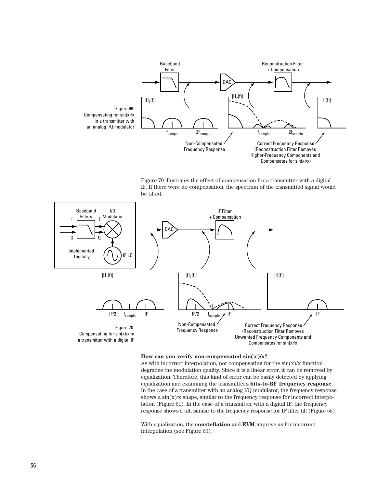

Figure 70 illustrates the effect of compensation for a transmitter with a digital IF. If there were no compensation, the spectrum of the transmitted signal would be tilted.



#### **How can you verify non-compensated sin(x)/x?**

As with incorrect interpolation, not compensating for the  $sin(x)/x$  function degrades the modulation quality. Since it is a linear error, it can be removed by equalization. Therefore, this kind of error can be easily detected by applying equalization and examining the transmitter's **bits-to-RF frequency response.** In the case of a transmitter with an analog I/Q modulator, the frequency response shows a  $\sin(x)/x$  shape, similar to the frequency response for incorrect interpolation (Figure 51). In the case of a transmitter with a digital IF, the frequency response shows a tilt, similar to the frequency response for IF filter tilt (Figure 55).

With equalization, the **constellation** and **EVM** improve as for incorrect interpolation (see Figure 50).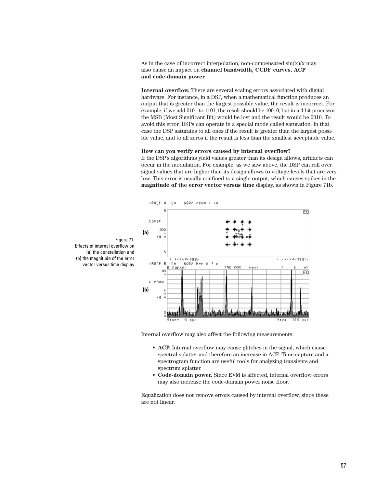As in the case of incorrect interpolation, non-compensated  $\sin(x)/x$  may also cause an impact on **channel bandwidth, CCDF curves, ACP and code-domain power.**

**Internal overflow.** There are several scaling errors associated with digital hardware. For instance, in a DSP, when a mathematical function produces an output that is greater than the largest possible value, the result is incorrect. For example, if we add 0101 to 1101, the result should be 10010, but in a 4-bit processor the MSB (Most Significant Bit) would be lost and the result would be 0010. To avoid this error, DSPs can operate in a special mode called saturation. In that case the DSP saturates to all ones if the result is greater than the largest possible value, and to all zeros if the result is less than the smallest acceptable value.

#### **How can you verify errors caused by internal overflow?**

If the DSP's algorithms yield values greater than its design allows, artifacts can occur in the modulation. For example, as we saw above, the DSP can roll over signal values that are higher than its design allows to voltage levels that are very low. This error is usually confined to a single output, which causes spikes in the **magnitude of the error vector versus time** display, as shown in Figure 71b.



Figure 71. Effects of internal overflow on (a) the constellation and (b) the magnitude of the error vector versus time display

Internal overflow may also affect the following measurements:

- **ACP.** Internal overflow may cause glitches in the signal, which cause spectral splatter and therefore an increase in ACP. Time capture and a spectrogram function are useful tools for analyzing transients and spectrum splatter.
- **Code-domain power.** Since EVM is affected, internal overflow errors may also increase the code-domain power noise floor.

Equalization does not remove errors caused by internal overflow, since these are not linear.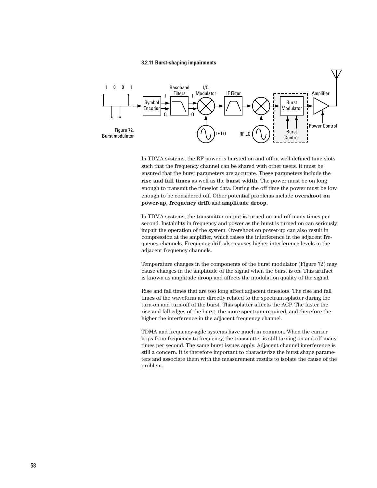#### **3.2.11 Burst-shaping impairments**



In TDMA systems, the RF power is bursted on and off in well-defined time slots such that the frequency channel can be shared with other users. It must be ensured that the burst parameters are accurate. These parameters include the **rise and fall times** as well as the **burst width.** The power must be on long enough to transmit the timeslot data. During the off time the power must be low enough to be considered off. Other potential problems include **overshoot on power-up, frequency drift** and **amplitude droop.** 

In TDMA systems, the transmitter output is turned on and off many times per second. Instability in frequency and power as the burst is turned on can seriously impair the operation of the system. Overshoot on power-up can also result in compression at the amplifier, which raises the interference in the adjacent frequency channels. Frequency drift also causes higher interference levels in the adjacent frequency channels.

Temperature changes in the components of the burst modulator (Figure 72) may cause changes in the amplitude of the signal when the burst is on. This artifact is known as amplitude droop and affects the modulation quality of the signal.

Rise and fall times that are too long affect adjacent timeslots. The rise and fall times of the waveform are directly related to the spectrum splatter during the turn-on and turn-off of the burst. This splatter affects the ACP. The faster the rise and fall edges of the burst, the more spectrum required, and therefore the higher the interference in the adjacent frequency channel.

TDMA and frequency-agile systems have much in common. When the carrier hops from frequency to frequency, the transmitter is still turning on and off many times per second. The same burst issues apply. Adjacent channel interference is still a concern. It is therefore important to characterize the burst shape parameters and associate them with the measurement results to isolate the cause of the problem.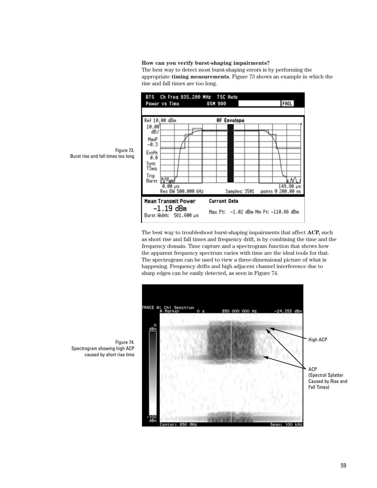#### **How can you verify burst-shaping impairments?**

The best way to detect most burst-shaping errors is by performing the appropriate **timing measurements**. Figure 73 shows an example in which the rise and fall times are too long.



The best way to troubleshoot burst-shaping impairments that affect **ACP,** such as short rise and fall times and frequency drift, is by combining the time and the frequency domain. Time capture and a spectrogram function that shows how the apparent frequency spectrum varies with time are the ideal tools for that. The spectrogram can be used to view a three-dimensional picture of what is happening. Frequency drifts and high adjacent channel interference due to sharp edges can be easily detected, as seen in Figure 74.



Figure 73. Burst rise and fall times too long

Figure 74. Spectrogram showing high ACP caused by short rise time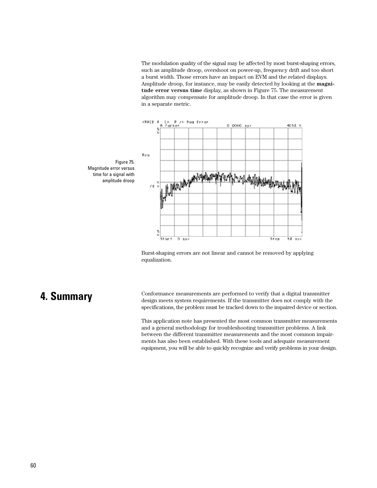The modulation quality of the signal may be affected by most burst-shaping errors, such as amplitude droop, overshoot on power-up, frequency drift and too short a burst width. Those errors have an impact on EVM and the related displays. Amplitude droop, for instance, may be easily detected by looking at the **magnitude error versus time** display, as shown in Figure 75. The measurement algorithm may compensate for amplitude droop. In that case the error is given in a separate metric.



equalization.

Burst-shaping errors are not linear and cannot be removed by applying

# **4. Summary**

Conformance measurements are performed to verify that a digital transmitter design meets system requirements. If the transmitter does not comply with the specifications, the problem must be tracked down to the impaired device or section.

This application note has presented the most common transmitter measurements and a general methodology for troubleshooting transmitter problems. A link between the different transmitter measurements and the most common impairments has also been established. With these tools and adequate measurement equipment, you will be able to quickly recognize and verify problems in your design.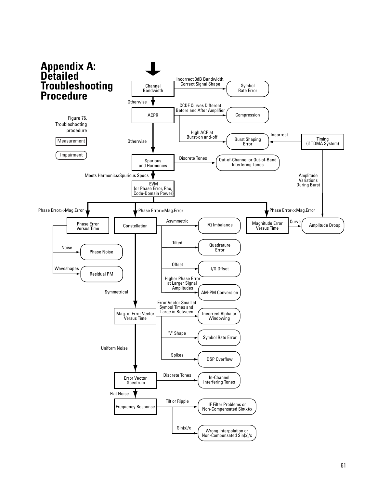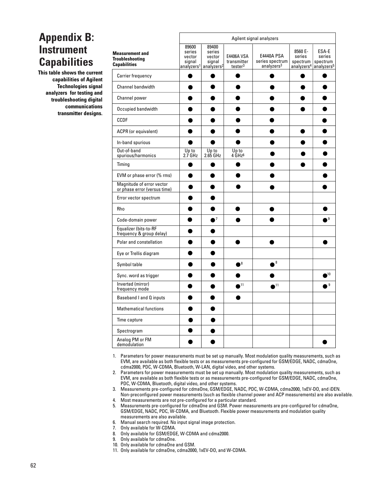# **Appendix B: Instrument Capabilities**

**This table shows the current capabilities of Agilent Technologies signal analyzers for testing and troubleshooting digital communications transmitter designs.** 

|                                                                         |                                     | Agilent signal analyzers                                                             |                                                  |                                                                |                               |                                                                              |  |
|-------------------------------------------------------------------------|-------------------------------------|--------------------------------------------------------------------------------------|--------------------------------------------------|----------------------------------------------------------------|-------------------------------|------------------------------------------------------------------------------|--|
| <b>Measurement and</b><br><b>Troubleshooting</b><br><b>Capabilities</b> | 89600<br>series<br>vector<br>signal | 89400<br>series<br>vector<br>signal<br>analyzers <sup>1</sup> analyzers <sup>2</sup> | E4406A VSA<br>transmitter<br>tester <sup>3</sup> | <b>E4440A PSA</b><br>series spectrum<br>analyzers <sup>3</sup> | 8560 E-<br>series<br>spectrum | ESA-E<br>series<br>spectrum<br>analyzers <sup>4</sup> analyzers <sup>5</sup> |  |
| Carrier frequency                                                       |                                     |                                                                                      |                                                  |                                                                |                               |                                                                              |  |
| <b>Channel bandwidth</b>                                                |                                     |                                                                                      |                                                  |                                                                |                               |                                                                              |  |
| Channel power                                                           |                                     |                                                                                      |                                                  |                                                                |                               |                                                                              |  |
| Occupied bandwidth                                                      |                                     |                                                                                      |                                                  |                                                                |                               |                                                                              |  |
| <b>CCDF</b>                                                             |                                     |                                                                                      |                                                  |                                                                |                               |                                                                              |  |
| ACPR (or equivalent)                                                    |                                     |                                                                                      |                                                  |                                                                |                               |                                                                              |  |
| In-band spurious                                                        |                                     |                                                                                      |                                                  |                                                                |                               |                                                                              |  |
| Out-of-band<br>spurious/harmonics                                       | Up to<br>2.7 GHz                    | Up to<br>2.65 GHz                                                                    | Up to<br>4 GHz <sup>6</sup>                      |                                                                |                               |                                                                              |  |
| Timing                                                                  |                                     |                                                                                      |                                                  |                                                                |                               |                                                                              |  |
| EVM or phase error (% rms)                                              |                                     |                                                                                      |                                                  |                                                                |                               |                                                                              |  |
| Magnitude of error vector<br>or phase error (versus time)               |                                     |                                                                                      |                                                  |                                                                |                               |                                                                              |  |
| Error vector spectrum                                                   |                                     |                                                                                      |                                                  |                                                                |                               |                                                                              |  |
| Rho                                                                     |                                     |                                                                                      |                                                  |                                                                |                               |                                                                              |  |
| Code-domain power                                                       |                                     | $^{\prime}$                                                                          |                                                  |                                                                |                               | 9                                                                            |  |
| Equalizer (bits-to-RF<br>frequency & group delay)                       |                                     |                                                                                      |                                                  |                                                                |                               |                                                                              |  |
| Polar and constellation                                                 |                                     |                                                                                      |                                                  |                                                                |                               |                                                                              |  |
| Eye or Trellis diagram                                                  |                                     |                                                                                      |                                                  |                                                                |                               |                                                                              |  |
| Symbol table                                                            |                                     |                                                                                      | $\bullet^8$                                      | $\sqrt{8}$                                                     |                               |                                                                              |  |
| Sync. word as trigger                                                   |                                     |                                                                                      |                                                  |                                                                |                               | 10                                                                           |  |
| Inverted (mirror)<br>frequency mode                                     |                                     |                                                                                      | 11                                               | 11                                                             |                               | 9                                                                            |  |
| Baseband I and Q inputs                                                 |                                     |                                                                                      |                                                  |                                                                |                               |                                                                              |  |
| <b>Mathematical functions</b>                                           |                                     |                                                                                      |                                                  |                                                                |                               |                                                                              |  |
| Time capture                                                            |                                     |                                                                                      |                                                  |                                                                |                               |                                                                              |  |
| Spectrogram                                                             |                                     |                                                                                      |                                                  |                                                                |                               |                                                                              |  |
| Analog PM or FM<br>demodulation                                         |                                     |                                                                                      |                                                  |                                                                |                               |                                                                              |  |

1. Parameters for power measurements must be set up manually. Most modulation quality measurements, such as EVM, are available as both flexible tests or as measurements pre-configured for GSM/EDGE, NADC, cdmaOne, cdma2000, PDC, W-CDMA, Bluetooth, W-LAN, digital video, and other systems.

2. Parameters for power measurements must be set up manually. Most modulation quality measurements, such as EVM, are available as both flexible tests or as measurements pre-configured for GSM/EDGE, NADC, cdmaOne, PDC, W-CDMA, Bluetooth, digital video, and other systems.

3. Measurements pre-configured for cdmaOne, GSM/EDGE, NADC, PDC, W-CDMA, cdma2000, 1xEV-DO, and iDEN. Non-preconfigured power measurements (such as flexible channel power and ACP measurements) are also available.

- 4. Most measurements are not pre-configured for a particular standard.
- 5. Measurements pre-configured for cdmaOne and GSM. Power measurements are pre-configured for cdmaOne, GSM/EDGE, NADC, PDC, W-CDMA, and Bluetooth. Flexible power measurements and modulation quality measurements are also available.
- 6. Manual search required. No input signal image protection.
- 7. Only available for W-CDMA.
- 8. Only available for GSM/EDGE, W-CDMA and cdma2000.
- 9. Only available for cdmaOne.
- 10. Only available for cdmaOne and GSM.
- 11. Only available for cdmaOne, cdma2000, 1xEV-DO, and W-CDMA.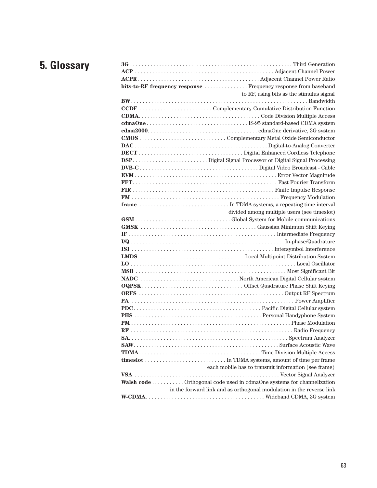# **5. Glossary**

| bits-to-RF frequency response  Frequency response from baseband        |
|------------------------------------------------------------------------|
| to RF, using bits as the stimulus signal                               |
|                                                                        |
|                                                                        |
|                                                                        |
|                                                                        |
|                                                                        |
|                                                                        |
|                                                                        |
|                                                                        |
|                                                                        |
|                                                                        |
|                                                                        |
|                                                                        |
|                                                                        |
|                                                                        |
|                                                                        |
| divided among multiple users (see timeslot)                            |
|                                                                        |
|                                                                        |
|                                                                        |
|                                                                        |
|                                                                        |
|                                                                        |
|                                                                        |
|                                                                        |
|                                                                        |
|                                                                        |
|                                                                        |
|                                                                        |
|                                                                        |
|                                                                        |
|                                                                        |
|                                                                        |
|                                                                        |
|                                                                        |
|                                                                        |
|                                                                        |
|                                                                        |
| each mobile has to transmit information (see frame)                    |
|                                                                        |
| Walsh code  Orthogonal code used in cdmaOne systems for channelization |
| in the forward link and as orthogonal modulation in the reverse link   |
|                                                                        |
|                                                                        |